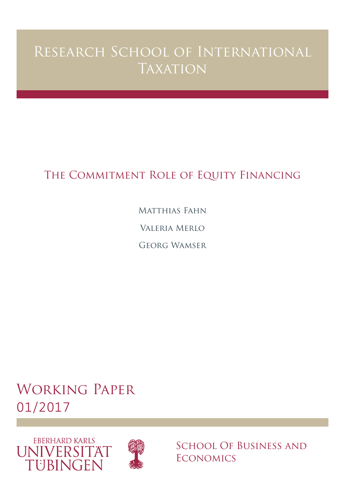# Research School of International **TAXATION**

# The Commitment Role of Equity Financing

Matthias Fahn

Valeria Merlo

Georg Wamser

Working Paper 01/2017





School Of Business and **ECONOMICS**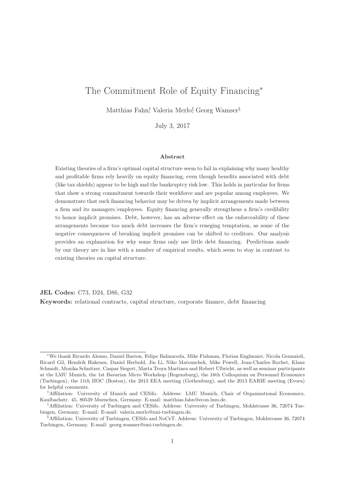## The Commitment Role of Equity Financing<sup>∗</sup>

Matthias Fahn† , Valeria Merlo‡ , Georg Wamser§

 $J_1$  3, 2017

#### Abstract

Existing theories of a firm's optimal capital structure seem to fail in explaining why many healthy and profitable firms rely heavily on equity financing, even though benefits associated with debt (like tax shields) appear to be high and the bankruptcy risk low. This holds in particular for firms that show a strong commitment towards their workforce and are popular among employees. We demonstrate that such financing behavior may be driven by implicit arrangements made between a firm and its managers/employees. Equity financing generally strengthens a firm's credibility to honor implicit promises. Debt, however, has an adverse effect on the enforceability of these arrangements because too much debt increases the firm's reneging temptation, as some of the negative consequences of breaking implicit promises can be shifted to creditors. Our analysis provides an explanation for why some firms only use little debt financing. Predictions made by our theory are in line with a number of empirical results, which seem to stay in contrast to existing theories on capital structure.

JEL Codes: C73, D24, D86, G32

Keywords: relational contracts, capital structure, corporate finance, debt financing

<sup>∗</sup>We thank Ricardo Alonso, Daniel Barron, Felipe Balmaceda, Mike Fishman, Florian Englmaier, Nicola Gennaioli, Ricard Gil, Hendrik Hakenes, Daniel Herbold, Jin Li, Niko Matouschek, Mike Powell, Jean-Charles Rochet, Klaus Schmidt, Monika Schnitzer, Caspar Siegert, Marta Troya Martinez and Robert Ulbricht, as well as seminar participants at the LMU Munich, the 1st Bavarian Micro Workshop (Regensburg), the 16th Colloquium on Personnel Economics (Tuebingen), the 11th IIOC (Boston), the 2013 EEA meeting (Gothenburg), and the 2013 EARIE meeting (Evora) for helpful comments.

<sup>†</sup>Affiliation: University of Munich and CESifo. Address: LMU Munich, Chair of Organizational Economics, Kaulbachstr. 45, 80539 Muenchen, Germany. E-mail: matthias.fahn@econ.lmu.de.

<sup>‡</sup>Affiliation: University of Tuebingen and CESifo. Address: University of Tuebingen, Mohlstrasse 36, 72074 Tuebingen, Germany. E-mail: E-mail: valeria.merlo@uni-tuebingen.de.

<sup>§</sup>Affiliation: University of Tuebingen, CESifo and NoCeT. Address: University of Tuebingen, Mohlstrasse 36, 72074 Tuebingen, Germany. E-mail: georg.wamser@uni-tuebingen.de.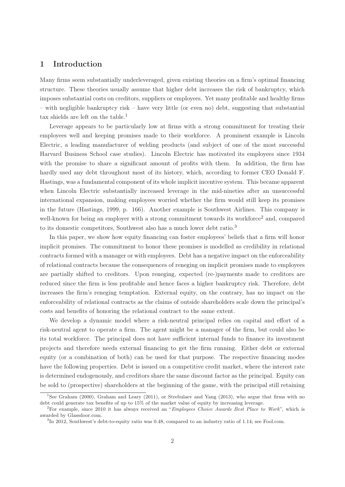## 1 Introduction

Many firms seem substantially underleveraged, given existing theories on a firm's optimal financing structure. These theories usually assume that higher debt increases the risk of bankruptcy, which imposes substantial costs on creditors, suppliers or employees. Yet many profitable and healthy firms – with negligible bankruptcy risk – have very little (or even no) debt, suggesting that substantial tax shields are left on the table.<sup>1</sup>

Leverage appears to be particularly low at firms with a strong commitment for treating their employees well and keeping promises made to their workforce. A prominent example is Lincoln Electric, a leading manufacturer of welding products (and subject of one of the most successful Harvard Business School case studies). Lincoln Electric has motivated its employees since 1934 with the promise to share a significant amount of profits with them. In addition, the firm has hardly used any debt throughout most of its history, which, according to former CEO Donald F. Hastings, was a fundamental component of its whole implicit incentive system. This became apparent when Lincoln Electric substantially increased leverage in the mid-nineties after an unsuccessful international expansion, making employees worried whether the firm would still keep its promises in the future (Hastings, 1999, p. 166). Another example is Southwest Airlines. This company is well-known for being an employer with a strong commitment towards its workforce<sup>2</sup> and, compared to its domestic competitors, Southwest also has a much lower debt ratio.<sup>3</sup>

In this paper, we show how equity financing can foster employees' beliefs that a firm will honor implicit promises. The commitment to honor these promises is modelled as credibility in relational contracts formed with a manager or with employees. Debt has a negative impact on the enforceability of relational contracts because the consequences of reneging on implicit promises made to employees are partially shifted to creditors. Upon reneging, expected (re-)payments made to creditors are reduced since the firm is less profitable and hence faces a higher bankruptcy risk. Therefore, debt increases the firm's reneging temptation. External equity, on the contrary, has no impact on the enforceability of relational contracts as the claims of outside shareholders scale down the principal's costs and benefits of honoring the relational contract to the same extent.

We develop a dynamic model where a risk-neutral principal relies on capital and effort of a risk-neutral agent to operate a firm. The agent might be a manager of the firm, but could also be its total workforce. The principal does not have sufficient internal funds to finance its investment projects and therefore needs external financing to get the firm running. Either debt or external equity (or a combination of both) can be used for that purpose. The respective financing modes have the following properties. Debt is issued on a competitive credit market, where the interest rate is determined endogenously, and creditors share the same discount factor as the principal. Equity can be sold to (prospective) shareholders at the beginning of the game, with the principal still retaining

<sup>&</sup>lt;sup>1</sup>See Graham (2000), Graham and Leary (2011), or Strebulaev and Yang (2013), who argue that firms with no debt could generate tax benefits of up to 15% of the market value of equity by increasing leverage.

<sup>2</sup>For example, since 2010 it has always received an "*Employees Choice Awards Best Place to Work*", which is awarded by Glassdoor.com.

<sup>3</sup>In 2012, Southwest's debt-to-equity ratio was 0.48, compared to an industry ratio of 1.14; see Fool.com.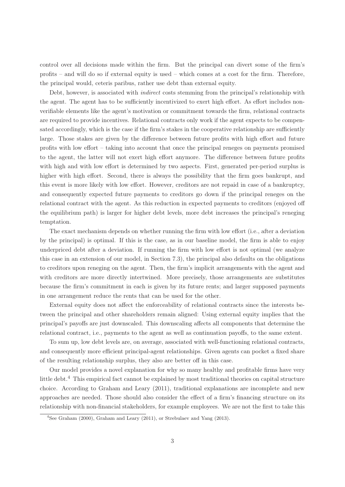control over all decisions made within the firm. But the principal can divert some of the firm's profits – and will do so if external equity is used – which comes at a cost for the firm. Therefore, the principal would, ceteris paribus, rather use debt than external equity.

Debt, however, is associated with *indirect* costs stemming from the principal's relationship with the agent. The agent has to be sufficiently incentivized to exert high effort. As effort includes nonverifiable elements like the agent's motivation or commitment towards the firm, relational contracts are required to provide incentives. Relational contracts only work if the agent expects to be compensated accordingly, which is the case if the firm's stakes in the cooperative relationship are sufficiently large. Those stakes are given by the difference between future profits with high effort and future profits with low effort – taking into account that once the principal reneges on payments promised to the agent, the latter will not exert high effort anymore. The difference between future profits with high and with low effort is determined by two aspects. First, generated per-period surplus is higher with high effort. Second, there is always the possibility that the firm goes bankrupt, and this event is more likely with low effort. However, creditors are not repaid in case of a bankruptcy, and consequently expected future payments to creditors go down if the principal reneges on the relational contract with the agent. As this reduction in expected payments to creditors (enjoyed off the equilibrium path) is larger for higher debt levels, more debt increases the principal's reneging temptation.

The exact mechanism depends on whether running the firm with low effort (i.e., after a deviation by the principal) is optimal. If this is the case, as in our baseline model, the firm is able to enjoy underpriced debt after a deviation. If running the firm with low effort is not optimal (we analyze this case in an extension of our model, in Section 7.3), the principal also defaults on the obligations to creditors upon reneging on the agent. Then, the firm's implicit arrangements with the agent and with creditors are more directly intertwined. More precisely, those arrangements are substitutes because the firm's commitment in each is given by its future rents; and larger supposed payments in one arrangement reduce the rents that can be used for the other.

External equity does not affect the enforceability of relational contracts since the interests between the principal and other shareholders remain aligned: Using external equity implies that the principal's payoffs are just downscaled. This downscaling affects all components that determine the relational contract, i.e., payments to the agent as well as continuation payoffs, to the same extent.

To sum up, low debt levels are, on average, associated with well-functioning relational contracts, and consequently more efficient principal-agent relationships. Given agents can pocket a fixed share of the resulting relationship surplus, they also are better off in this case.

Our model provides a novel explanation for why so many healthy and profitable firms have very little debt.<sup>4</sup> This empirical fact cannot be explained by most traditional theories on capital structure choice. According to Graham and Leary (2011), traditional explanations are incomplete and new approaches are needed. Those should also consider the effect of a firm's financing structure on its relationship with non-financial stakeholders, for example employees. We are not the first to take this

<sup>4</sup>See Graham (2000), Graham and Leary (2011), or Strebulaev and Yang (2013).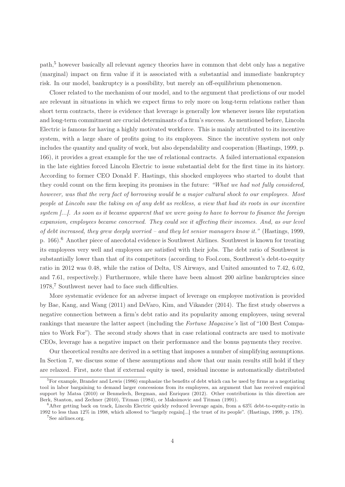$path<sub>5</sub>$  however basically all relevant agency theories have in common that debt only has a negative (marginal) impact on firm value if it is associated with a substantial and immediate bankruptcy risk. In our model, bankruptcy is a possibility, but merely an off-equilibrium phenomenon.

Closer related to the mechanism of our model, and to the argument that predictions of our model are relevant in situations in which we expect firms to rely more on long-term relations rather than short term contracts, there is evidence that leverage is generally low whenever issues like reputation and long-term commitment are crucial determinants of a firm's success. As mentioned before, Lincoln Electric is famous for having a highly motivated workforce. This is mainly attributed to its incentive system, with a large share of profits going to its employees. Since the incentive system not only includes the quantity and quality of work, but also dependability and cooperation (Hastings, 1999, p. 166), it provides a great example for the use of relational contracts. A failed international expansion in the late eighties forced Lincoln Electric to issue substantial debt for the first time in its history. According to former CEO Donald F. Hastings, this shocked employees who started to doubt that they could count on the firm keeping its promises in the future: "What we had not fully considered, however, was that the very fact of borrowing would be a major cultural shock to our employees. Most people at Lincoln saw the taking on of any debt as reckless, a view that had its roots in our incentive system [...]. As soon as it became apparent that we were going to have to borrow to finance the foreign expansion, employees became concerned. They could see it affecting their incomes. And, as our level of debt increased, they grew deeply worried – and they let senior managers know it." (Hastings, 1999, p. 166).<sup>6</sup> Another piece of anecdotal evidence is Southwest Airlines. Southwest is known for treating its employees very well and employees are satisfied with their jobs. The debt ratio of Southwest is substantially lower than that of its competitors (according to Fool.com, Southwest's debt-to-equity ratio in 2012 was 0.48, while the ratios of Delta, US Airways, and United amounted to 7.42, 6.02, and 7.61, respectively.) Furthermore, while there have been almost 200 airline bankruptcies since 1978,<sup>7</sup> Southwest never had to face such difficulties.

More systematic evidence for an adverse impact of leverage on employee motivation is provided by Bae, Kang, and Wang (2011) and DeVaro, Kim, and Vikander (2014). The first study observes a negative connection between a firm's debt ratio and its popularity among employees, using several rankings that measure the latter aspect (including the Fortune Magazine's list of "100 Best Companies to Work For"). The second study shows that in case relational contracts are used to motivate CEOs, leverage has a negative impact on their performance and the bonus payments they receive.

Our theoretical results are derived in a setting that imposes a number of simplifying assumptions. In Section 7, we discuss some of these assumptions and show that our main results still hold if they are relaxed. First, note that if external equity is used, residual income is automatically distributed

 ${}^{5}$ For example, Brander and Lewis (1986) emphasize the benefits of debt which can be used by firms as a negotiating tool in labor bargaining to demand larger concessions from its employees, an argument that has received empirical support by Matsa (2010) or Benmelech, Bergman, and Enriquez (2012). Other contributions in this direction are Berk, Stanton, and Zechner (2010), Titman (1984), or Maksimovic and Titman (1991).

 ${}^{6}$ After getting back on track, Lincoln Electric quickly reduced leverage again, from a 63% debt-to-equity-ratio in 1992 to less than 12% in 1998, which allowed to "largely regain[...] the trust of its people". (Hastings, 1999, p. 178). <sup>7</sup>See airlines.org.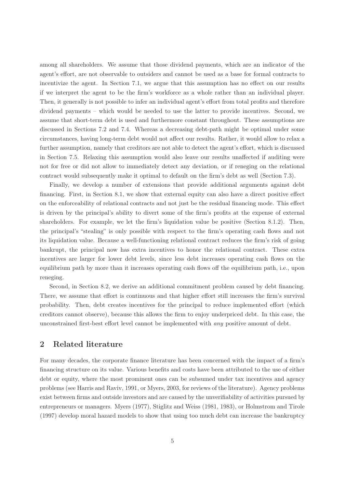among all shareholders. We assume that those dividend payments, which are an indicator of the agent's effort, are not observable to outsiders and cannot be used as a base for formal contracts to incentivize the agent. In Section 7.1, we argue that this assumption has no effect on our results if we interpret the agent to be the firm's workforce as a whole rather than an individual player. Then, it generally is not possible to infer an individual agent's effort from total profits and therefore dividend payments – which would be needed to use the latter to provide incentives. Second, we assume that short-term debt is used and furthermore constant throughout. These assumptions are discussed in Sections 7.2 and 7.4. Whereas a decreasing debt-path might be optimal under some circumstances, having long-term debt would not affect our results. Rather, it would allow to relax a further assumption, namely that creditors are not able to detect the agent's effort, which is discussed in Section 7.5. Relaxing this assumption would also leave our results unaffected if auditing were not for free or did not allow to immediately detect any deviation, or if reneging on the relational contract would subsequently make it optimal to default on the firm's debt as well (Section 7.3).

Finally, we develop a number of extensions that provide additional arguments against debt financing. First, in Section 8.1, we show that external equity can also have a direct positive effect on the enforceability of relational contracts and not just be the residual financing mode. This effect is driven by the principal's ability to divert some of the firm's profits at the expense of external shareholders. For example, we let the firm's liquidation value be positive (Section 8.1.2). Then, the principal's "stealing" is only possible with respect to the firm's operating cash flows and not its liquidation value. Because a well-functioning relational contract reduces the firm's risk of going bankrupt, the principal now has extra incentives to honor the relational contract. These extra incentives are larger for lower debt levels, since less debt increases operating cash flows on the equilibrium path by more than it increases operating cash flows off the equilibrium path, i.e., upon reneging.

Second, in Section 8.2, we derive an additional commitment problem caused by debt financing. There, we assume that effort is continuous and that higher effort still increases the firm's survival probability. Then, debt creates incentives for the principal to reduce implemented effort (which creditors cannot observe), because this allows the firm to enjoy underpriced debt. In this case, the unconstrained first-best effort level cannot be implemented with any positive amount of debt.

## 2 Related literature

For many decades, the corporate finance literature has been concerned with the impact of a firm's financing structure on its value. Various benefits and costs have been attributed to the use of either debt or equity, where the most prominent ones can be subsumed under tax incentives and agency problems (see Harris and Raviv, 1991, or Myers, 2003, for reviews of the literature). Agency problems exist between firms and outside investors and are caused by the unverifiability of activities pursued by entrepreneurs or managers. Myers (1977), Stiglitz and Weiss (1981, 1983), or Holmstrom and Tirole (1997) develop moral hazard models to show that using too much debt can increase the bankruptcy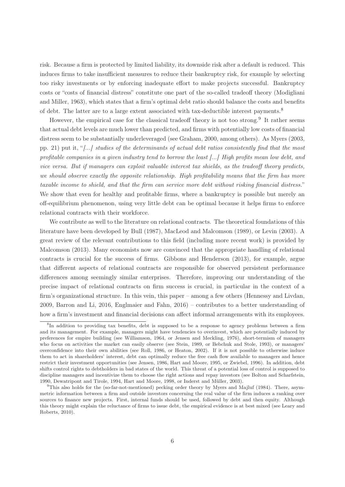risk. Because a firm is protected by limited liability, its downside risk after a default is reduced. This induces firms to take insufficient measures to reduce their bankruptcy risk, for example by selecting too risky investments or by enforcing inadequate effort to make projects successful. Bankruptcy costs or "costs of financial distress" constitute one part of the so-called tradeoff theory (Modigliani and Miller, 1963), which states that a firm's optimal debt ratio should balance the costs and benefits of debt. The latter are to a large extent associated with tax-deductible interest payments.<sup>8</sup>

However, the empirical case for the classical tradeoff theory is not too strong.<sup>9</sup> It rather seems that actual debt levels are much lower than predicted, and firms with potentially low costs of financial distress seem to be substantially underleveraged (see Graham, 2000, among others). As Myers (2003, pp. 21) put it, "[...] studies of the determinants of actual debt ratios consistently find that the most profitable companies in a given industry tend to borrow the least [...] High profits mean low debt, and vice versa. But if managers can exploit valuable interest tax shields, as the tradeoff theory predicts, we should observe exactly the opposite relationship. High profitability means that the firm has more taxable income to shield, and that the firm can service more debt without risking financial distress." We show that even for healthy and profitable firms, where a bankruptcy is possible but merely an off-equilibrium phenomenon, using very little debt can be optimal because it helps firms to enforce relational contracts with their workforce.

We contribute as well to the literature on relational contracts. The theoretical foundations of this literature have been developed by Bull (1987), MacLeod and Malcomson (1989), or Levin (2003). A great review of the relevant contributions to this field (including more recent work) is provided by Malcomson (2013). Many economists now are convinced that the appropriate handling of relational contracts is crucial for the success of firms. Gibbons and Henderson (2013), for example, argue that different aspects of relational contracts are responsible for observed persistent performance differences among seemingly similar enterprises. Therefore, improving our understanding of the precise impact of relational contracts on firm success is crucial, in particular in the context of a firm's organizational structure. In this vein, this paper – among a few others (Hennessy and Livdan, 2009, Barron and Li, 2016, Englmaier and Fahn, 2016) – contributes to a better understanding of how a firm's investment and financial decisions can affect informal arrangements with its employees.

<sup>&</sup>lt;sup>8</sup>In addition to providing tax benefits, debt is supposed to be a response to agency problems between a firm and its management. For example, managers might have tendencies to overinvest, which are potentially induced by preferences for empire building (see Williamson, 1964, or Jensen and Meckling, 1976), short-termism of managers who focus on activities the market can easily observe (see Stein, 1989, or Bebchuk and Stole, 1993), or managers' overconfidence into their own abilities (see Roll, 1986, or Heaton, 2002). If it is not possible to otherwise induce them to act in shareholders' interest, debt can optimally reduce the free cash flow available to managers and hence restrict their investment opportunities (see Jensen, 1986, Hart and Moore, 1995, or Zwiebel, 1996). In addition, debt shifts control rights to debtholders in bad states of the world. This threat of a potential loss of control is supposed to discipline managers and incentivize them to choose the right actions and repay investors (see Bolton and Scharfstein, 1990, Dewatripont and Tirole, 1994, Hart and Moore, 1998, or Inderst and Müller, 2003).

<sup>9</sup>This also holds for the (so-far-not-mentioned) pecking order theory by Myers and Majluf (1984). There, asymmetric information between a firm and outside investors concerning the real value of the firm induces a ranking over sources to finance new projects. First, internal funds should be used, followed by debt and then equity. Although this theory might explain the reluctance of firms to issue debt, the empirical evidence is at best mixed (see Leary and Roberts, 2010).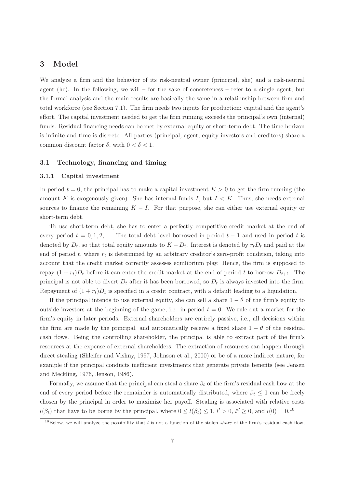## 3 Model

We analyze a firm and the behavior of its risk-neutral owner (principal, she) and a risk-neutral agent (he). In the following, we will – for the sake of concreteness – refer to a single agent, but the formal analysis and the main results are basically the same in a relationship between firm and total workforce (see Section 7.1). The firm needs two inputs for production: capital and the agent's effort. The capital investment needed to get the firm running exceeds the principal's own (internal) funds. Residual financing needs can be met by external equity or short-term debt. The time horizon is infinite and time is discrete. All parties (principal, agent, equity investors and creditors) share a common discount factor  $\delta$ , with  $0 < \delta < 1$ .

#### 3.1 Technology, financing and timing

#### 3.1.1 Capital investment

In period  $t = 0$ , the principal has to make a capital investment  $K > 0$  to get the firm running (the amount K is exogenously given). She has internal funds I, but  $I < K$ . Thus, she needs external sources to finance the remaining  $K - I$ . For that purpose, she can either use external equity or short-term debt.

To use short-term debt, she has to enter a perfectly competitive credit market at the end of every period  $t = 0, 1, 2, ...$  The total debt level borrowed in period  $t - 1$  and used in period t is denoted by  $D_t$ , so that total equity amounts to  $K - D_t$ . Interest is denoted by  $r_t D_t$  and paid at the end of period  $t$ , where  $r_t$  is determined by an arbitrary creditor's zero-profit condition, taking into account that the credit market correctly assesses equilibrium play. Hence, the firm is supposed to repay  $(1 + r_t)D_t$  before it can enter the credit market at the end of period t to borrow  $D_{t+1}$ . The principal is not able to divert  $D_t$  after it has been borrowed, so  $D_t$  is always invested into the firm. Repayment of  $(1 + r_t)D_t$  is specified in a credit contract, with a default leading to a liquidation.

If the principal intends to use external equity, she can sell a share  $1 - \theta$  of the firm's equity to outside investors at the beginning of the game, i.e. in period  $t = 0$ . We rule out a market for the firm's equity in later periods. External shareholders are entirely passive, i.e., all decisions within the firm are made by the principal, and automatically receive a fixed share  $1 - \theta$  of the residual cash flows. Being the controlling shareholder, the principal is able to extract part of the firm's resources at the expense of external shareholders. The extraction of resources can happen through direct stealing (Shleifer and Vishny, 1997, Johnson et al., 2000) or be of a more indirect nature, for example if the principal conducts inefficient investments that generate private benefits (see Jensen and Meckling, 1976, Jenson, 1986).

Formally, we assume that the principal can steal a share  $\beta_t$  of the firm's residual cash flow at the end of every period before the remainder is automatically distributed, where  $\beta_t \leq 1$  can be freely chosen by the principal in order to maximize her payoff. Stealing is associated with relative costs  $l(\beta_t)$  that have to be borne by the principal, where  $0 \le l(\beta_t) \le 1$ ,  $l' > 0$ ,  $l'' \ge 0$ , and  $l(0) = 0$ .<sup>10</sup>

<sup>&</sup>lt;sup>10</sup>Below, we will analyze the possibility that  $l$  is not a function of the stolen *share* of the firm's residual cash flow,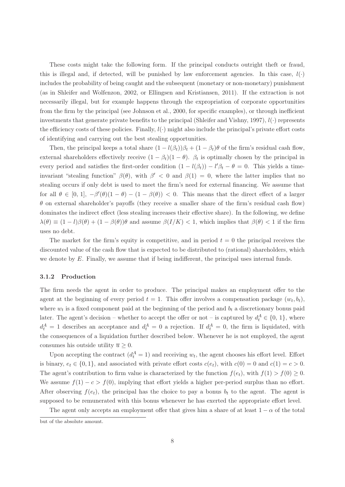These costs might take the following form. If the principal conducts outright theft or fraud, this is illegal and, if detected, will be punished by law enforcement agencies. In this case,  $l(\cdot)$ includes the probability of being caught and the subsequent (monetary or non-monetary) punishment (as in Shleifer and Wolfenzon, 2002, or Ellingsen and Kristiansen, 2011). If the extraction is not necessarily illegal, but for example happens through the expropriation of corporate opportunities from the firm by the principal (see Johnson et al., 2000, for specific examples), or through inefficient investments that generate private benefits to the principal (Shleifer and Vishny, 1997),  $l(\cdot)$  represents the efficiency costs of these policies. Finally,  $l(\cdot)$  might also include the principal's private effort costs of identifying and carrying out the best stealing opportunities.

Then, the principal keeps a total share  $(1 - l(\beta_t))\beta_t + (1 - \beta_t)\theta$  of the firm's residual cash flow, external shareholders effectively receive  $(1 - \beta_t)(1 - \theta)$ .  $\beta_t$  is optimally chosen by the principal in every period and satisfies the first-order condition  $(1 - l(\beta_t)) - l' \beta_t - \theta = 0$ . This yields a timeinvariant "stealing function"  $\beta(\theta)$ , with  $\beta' < 0$  and  $\beta(1) = 0$ , where the latter implies that no stealing occurs if only debt is used to meet the firm's need for external financing. We assume that for all  $\theta \in [0, 1], -\beta'(\theta)(1 - \theta) - (1 - \beta(\theta)) < 0$ . This means that the direct effect of a larger  $\theta$  on external shareholder's payoffs (they receive a smaller share of the firm's residual cash flow) dominates the indirect effect (less stealing increases their effective share). In the following, we define  $\lambda(\theta) \equiv (1 - l)\beta(\theta) + (1 - \beta(\theta))\theta$  and assume  $\beta(I/K) < 1$ , which implies that  $\beta(\theta) < 1$  if the firm uses no debt.

The market for the firm's equity is competitive, and in period  $t = 0$  the principal receives the discounted value of the cash flow that is expected to be distributed to (rational) shareholders, which we denote by  $E$ . Finally, we assume that if being indifferent, the principal uses internal funds.

#### 3.1.2 Production

The firm needs the agent in order to produce. The principal makes an employment offer to the agent at the beginning of every period  $t = 1$ . This offer involves a compensation package  $(w_t, b_t)$ , where  $w_t$  is a fixed component paid at the beginning of the period and  $b_t$  a discretionary bonus paid later. The agent's decision – whether to accept the offer or not – is captured by  $d_t^A \in \{0, 1\}$ , where  $d_t^A = 1$  describes an acceptance and  $d_t^A = 0$  a rejection. If  $d_t^A = 0$ , the firm is liquidated, with the consequences of a liquidation further described below. Whenever he is not employed, the agent consumes his outside utility  $\overline{u} \geq 0$ .

Upon accepting the contract  $(d_t^A = 1)$  and receiving  $w_t$ , the agent chooses his effort level. Effort is binary,  $e_t \in \{0, 1\}$ , and associated with private effort costs  $c(e_t)$ , with  $c(0) = 0$  and  $c(1) = c > 0$ . The agent's contribution to firm value is characterized by the function  $f(e_t)$ , with  $f(1) > f(0) \geq 0$ . We assume  $f(1) - c > f(0)$ , implying that effort yields a higher per-period surplus than no effort. After observing  $f(e_t)$ , the principal has the choice to pay a bonus  $b_t$  to the agent. The agent is supposed to be remunerated with this bonus whenever he has exerted the appropriate effort level.

The agent only accepts an employment offer that gives him a share of at least  $1 - \alpha$  of the total

but of the absolute amount.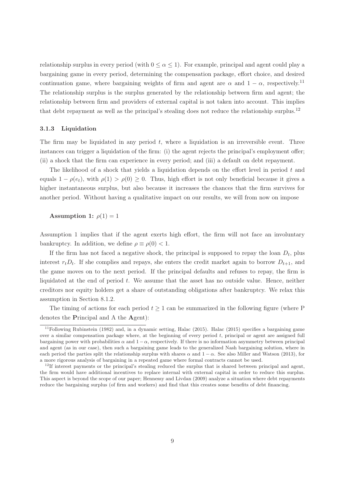relationship surplus in every period (with  $0 \leq \alpha \leq 1$ ). For example, principal and agent could play a bargaining game in every period, determining the compensation package, effort choice, and desired continuation game, where bargaining weights of firm and agent are  $\alpha$  and  $1 - \alpha$ , respectively.<sup>11</sup> The relationship surplus is the surplus generated by the relationship between firm and agent; the relationship between firm and providers of external capital is not taken into account. This implies that debt repayment as well as the principal's stealing does not reduce the relationship surplus.<sup>12</sup>

#### 3.1.3 Liquidation

The firm may be liquidated in any period  $t$ , where a liquidation is an irreversible event. Three instances can trigger a liquidation of the firm: (i) the agent rejects the principal's employment offer; (ii) a shock that the firm can experience in every period; and (iii) a default on debt repayment.

The likelihood of a shock that yields a liquidation depends on the effort level in period  $t$  and equals  $1 - \rho(e_t)$ , with  $\rho(1) > \rho(0) \geq 0$ . Thus, high effort is not only beneficial because it gives a higher instantaneous surplus, but also because it increases the chances that the firm survives for another period. Without having a qualitative impact on our results, we will from now on impose

Assumption 1:  $\rho(1) = 1$ 

Assumption 1 implies that if the agent exerts high effort, the firm will not face an involuntary bankruptcy. In addition, we define  $\rho \equiv \rho(0) < 1$ .

If the firm has not faced a negative shock, the principal is supposed to repay the loan  $D_t$ , plus interest  $r_t D_t$ . If she complies and repays, she enters the credit market again to borrow  $D_{t+1}$ , and the game moves on to the next period. If the principal defaults and refuses to repay, the firm is liquidated at the end of period  $t$ . We assume that the asset has no outside value. Hence, neither creditors nor equity holders get a share of outstanding obligations after bankruptcy. We relax this assumption in Section 8.1.2.

The timing of actions for each period  $t \geq 1$  can be summarized in the following figure (where P denotes the Principal and A the Agent):

<sup>&</sup>lt;sup>11</sup>Following Rubinstein (1982) and, in a dynamic setting, Halac (2015). Halac (2015) specifies a bargaining game over a similar compensation package where, at the beginning of every period t, principal or agent are assigned full bargaining power with probabilities  $\alpha$  and  $1-\alpha$ , respectively. If there is no information asymmetry between principal and agent (as in our case), then such a bargaining game leads to the generalized Nash bargaining solution, where in each period the parties split the relationship surplus with shares  $\alpha$  and  $1 - \alpha$ . See also Miller and Watson (2013), for a more rigorous analysis of bargaining in a repeated game where formal contracts cannot be used.

 $12$ If interest payments or the principal's stealing reduced the surplus that is shared between principal and agent, the firm would have additional incentives to replace internal with external capital in order to reduce this surplus. This aspect is beyond the scope of our paper; Hennessy and Livdan (2009) analyze a situation where debt repayments reduce the bargaining surplus (of firm and workers) and find that this creates some benefits of debt financing.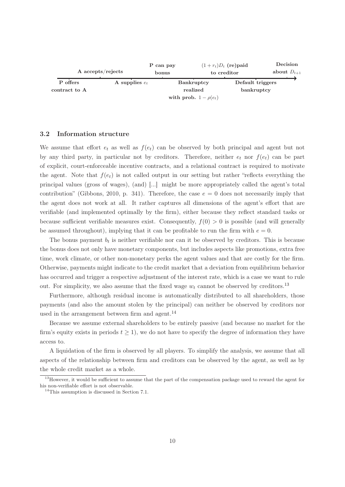| A accepts/rejects |                  | P can pay<br>bonus |                            | $(1+r_t)D_t$ (re)paid<br>to creditor | Decision<br>about $D_{t+1}$ |  |
|-------------------|------------------|--------------------|----------------------------|--------------------------------------|-----------------------------|--|
| P offers          | A supplies $e_t$ |                    | <b>Bankruptcy</b>          |                                      | Default triggers            |  |
| contract to A     |                  |                    | realized                   | bankruptcy                           |                             |  |
|                   |                  |                    | with prob. $1 - \rho(e_t)$ |                                      |                             |  |

#### 3.2 Information structure

We assume that effort  $e_t$  as well as  $f(e_t)$  can be observed by both principal and agent but not by any third party, in particular not by creditors. Therefore, neither  $e_t$  nor  $f(e_t)$  can be part of explicit, court-enforceable incentive contracts, and a relational contract is required to motivate the agent. Note that  $f(e_t)$  is not called output in our setting but rather "reflects everything the principal values (gross of wages), (and) [...] might be more appropriately called the agent's total contribution" (Gibbons, 2010, p. 341). Therefore, the case  $e = 0$  does not necessarily imply that the agent does not work at all. It rather captures all dimensions of the agent's effort that are verifiable (and implemented optimally by the firm), either because they reflect standard tasks or because sufficient verifiable measures exist. Consequently,  $f(0) > 0$  is possible (and will generally be assumed throughout), implying that it can be profitable to run the firm with  $e = 0$ .

The bonus payment  $b_t$  is neither verifiable nor can it be observed by creditors. This is because the bonus does not only have monetary components, but includes aspects like promotions, extra free time, work climate, or other non-monetary perks the agent values and that are costly for the firm. Otherwise, payments might indicate to the credit market that a deviation from equilibrium behavior has occurred and trigger a respective adjustment of the interest rate, which is a case we want to rule out. For simplicity, we also assume that the fixed wage  $w_t$  cannot be observed by creditors.<sup>13</sup>

Furthermore, although residual income is automatically distributed to all shareholders, those payments (and also the amount stolen by the principal) can neither be observed by creditors nor used in the arrangement between firm and agent. $^{14}$ 

Because we assume external shareholders to be entirely passive (and because no market for the firm's equity exists in periods  $t \geq 1$ , we do not have to specify the degree of information they have access to.

A liquidation of the firm is observed by all players. To simplify the analysis, we assume that all aspects of the relationship between firm and creditors can be observed by the agent, as well as by the whole credit market as a whole.

<sup>&</sup>lt;sup>13</sup>However, it would be sufficient to assume that the part of the compensation package used to reward the agent for his non-verifiable effort is not observable.

<sup>&</sup>lt;sup>14</sup>This assumption is discussed in Section 7.1.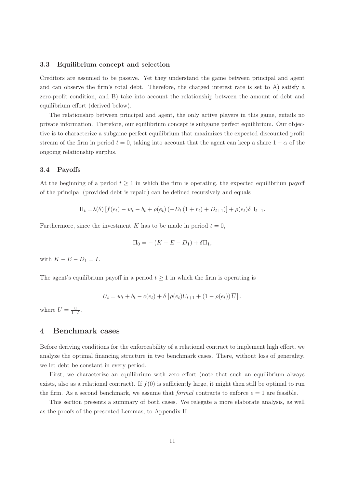#### 3.3 Equilibrium concept and selection

Creditors are assumed to be passive. Yet they understand the game between principal and agent and can observe the firm's total debt. Therefore, the charged interest rate is set to A) satisfy a zero-profit condition, and B) take into account the relationship between the amount of debt and equilibrium effort (derived below).

The relationship between principal and agent, the only active players in this game, entails no private information. Therefore, our equilibrium concept is subgame perfect equilibrium. Our objective is to characterize a subgame perfect equilibrium that maximizes the expected discounted profit stream of the firm in period  $t = 0$ , taking into account that the agent can keep a share  $1 - \alpha$  of the ongoing relationship surplus.

#### 3.4 Payoffs

At the beginning of a period  $t \geq 1$  in which the firm is operating, the expected equilibrium payoff of the principal (provided debt is repaid) can be defined recursively and equals

$$
\Pi_t = \lambda(\theta) \left[ f(e_t) - w_t - b_t + \rho(e_t) \left( -D_t (1 + r_t) + D_{t+1} \right) \right] + \rho(e_t) \delta \Pi_{t+1}.
$$

Furthermore, since the investment K has to be made in period  $t = 0$ ,

$$
\Pi_0 = -(K - E - D_1) + \delta \Pi_1,
$$

with  $K - E - D_1 = I$ .

The agent's equilibrium payoff in a period  $t \geq 1$  in which the firm is operating is

$$
U_t = w_t + b_t - c(e_t) + \delta \left[ \rho(e_t) U_{t+1} + (1 - \rho(e_t)) \overline{U} \right],
$$

where  $\overline{U} = \frac{\overline{u}}{1-\delta}$ .

## 4 Benchmark cases

Before deriving conditions for the enforceability of a relational contract to implement high effort, we analyze the optimal financing structure in two benchmark cases. There, without loss of generality, we let debt be constant in every period.

First, we characterize an equilibrium with zero effort (note that such an equilibrium always exists, also as a relational contract). If  $f(0)$  is sufficiently large, it might then still be optimal to run the firm. As a second benchmark, we assume that *formal* contracts to enforce  $e = 1$  are feasible.

This section presents a summary of both cases. We relegate a more elaborate analysis, as well as the proofs of the presented Lemmas, to Appendix II.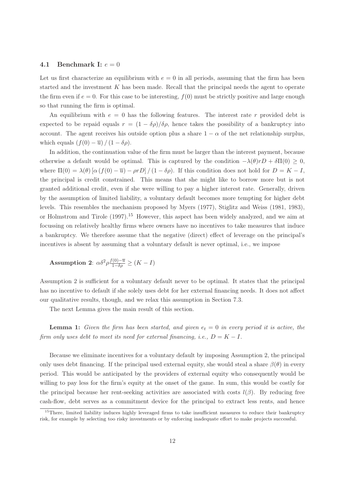#### 4.1 Benchmark I:  $e = 0$

Let us first characterize an equilibrium with  $e = 0$  in all periods, assuming that the firm has been started and the investment K has been made. Recall that the principal needs the agent to operate the firm even if  $e = 0$ . For this case to be interesting,  $f(0)$  must be strictly positive and large enough so that running the firm is optimal.

An equilibrium with  $e = 0$  has the following features. The interest rate r provided debt is expected to be repaid equals  $r = (1 - \delta \rho)/\delta \rho$ , hence takes the possibility of a bankruptcy into account. The agent receives his outside option plus a share  $1 - \alpha$  of the net relationship surplus, which equals  $(f(0) - \overline{u}) / (1 - \delta \rho)$ .

In addition, the continuation value of the firm must be larger than the interest payment, because otherwise a default would be optimal. This is captured by the condition  $-\lambda(\theta)rD + \delta\Pi(0) \geq 0$ , where  $\Pi(0) = \lambda(\theta) [\alpha (f(0) - \overline{u}) - \rho r D]/(1 - \delta \rho)$ . If this condition does not hold for  $D = K - I$ , the principal is credit constrained. This means that she might like to borrow more but is not granted additional credit, even if she were willing to pay a higher interest rate. Generally, driven by the assumption of limited liability, a voluntary default becomes more tempting for higher debt levels. This resembles the mechanism proposed by Myers (1977), Stiglitz and Weiss (1981, 1983), or Holmstrom and Tirole (1997).<sup>15</sup> However, this aspect has been widely analyzed, and we aim at focussing on relatively healthy firms where owners have no incentives to take measures that induce a bankruptcy. We therefore assume that the negative (direct) effect of leverage on the principal's incentives is absent by assuming that a voluntary default is never optimal, i.e., we impose

**Assumption 2:** 
$$
\alpha \delta^2 \rho \frac{f(0) - \overline{u}}{1 - \delta \rho} \ge (K - I)
$$

Assumption 2 is sufficient for a voluntary default never to be optimal. It states that the principal has no incentive to default if she solely uses debt for her external financing needs. It does not affect our qualitative results, though, and we relax this assumption in Section 7.3.

The next Lemma gives the main result of this section.

**Lemma 1:** Given the firm has been started, and given  $e_t = 0$  in every period it is active, the firm only uses debt to meet its need for external financing, i.e.,  $D = K - I$ .

Because we eliminate incentives for a voluntary default by imposing Assumption 2, the principal only uses debt financing. If the principal used external equity, she would steal a share  $\beta(\theta)$  in every period. This would be anticipated by the providers of external equity who consequently would be willing to pay less for the firm's equity at the onset of the game. In sum, this would be costly for the principal because her rent-seeking activities are associated with costs  $l(\beta)$ . By reducing free cash-flow, debt serves as a commitment device for the principal to extract less rents, and hence

<sup>&</sup>lt;sup>15</sup>There, limited liability induces highly leveraged firms to take insufficient measures to reduce their bankruptcy risk, for example by selecting too risky investments or by enforcing inadequate effort to make projects successful.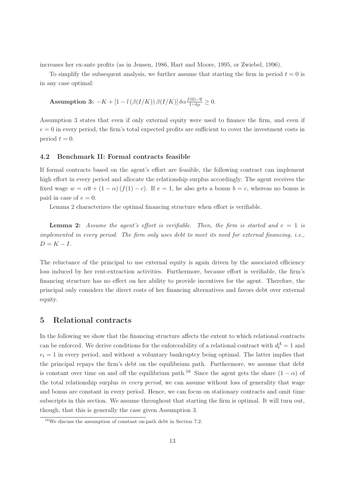increases her ex-ante profits (as in Jensen, 1986, Hart and Moore, 1995, or Zwiebel, 1996).

To simplify the subsequent analysis, we further assume that starting the firm in period  $t = 0$  is in any case optimal:

**Assumption 3:** 
$$
-K + [1 - l(\beta(I/K)) \beta(I/K)] \delta \alpha \frac{f(0) - \overline{u}}{1 - \delta \rho} \ge 0.
$$

Assumption 3 states that even if only external equity were used to finance the firm, and even if  $e = 0$  in every period, the firm's total expected profits are sufficient to cover the investment costs in period  $t = 0$ .

#### 4.2 Benchmark II: Formal contracts feasible

If formal contracts based on the agent's effort are feasible, the following contract can implement high effort in every period and allocate the relationship surplus accordingly. The agent receives the fixed wage  $w = \alpha \overline{u} + (1 - \alpha) (f(1) - c)$ . If  $e = 1$ , he also gets a bonus  $b = c$ , whereas no bonus is paid in case of  $e = 0$ .

Lemma 2 characterizes the optimal financing structure when effort is verifiable.

**Lemma 2:** Assume the agent's effort is verifiable. Then, the firm is started and  $e = 1$  is implemented in every period. The firm only uses debt to meet its need for external financing, i.e.,  $D = K - I.$ 

The reluctance of the principal to use external equity is again driven by the associated efficiency loss induced by her rent-extraction activities. Furthermore, because effort is verifiable, the firm's financing structure has no effect on her ability to provide incentives for the agent. Therefore, the principal only considers the direct costs of her financing alternatives and favors debt over external equity.

## 5 Relational contracts

In the following we show that the financing structure affects the extent to which relational contracts can be enforced. We derive conditions for the enforceability of a relational contract with  $d_t^A = 1$  and  $e_t = 1$  in every period, and without a voluntary bankruptcy being optimal. The latter implies that the principal repays the firm's debt on the equilibrium path. Furthermore, we assume that debt is constant over time on and off the equilibrium path.<sup>16</sup> Since the agent gets the share  $(1 - \alpha)$  of the total relationship surplus in every period, we can assume without loss of generality that wage and bonus are constant in every period. Hence, we can focus on stationary contracts and omit time subscripts in this section. We assume throughout that starting the firm is optimal. It will turn out, though, that this is generally the case given Assumption 3.

 $16$ We discuss the assumption of constant on-path debt in Section 7.2.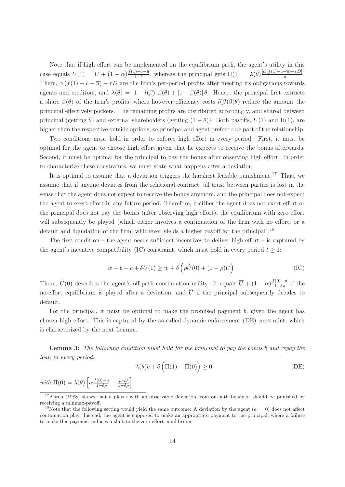Note that if high effort can be implemented on the equilibrium path, the agent's utility in this case equals  $U(1) = \overline{U} + (1 - \alpha) \frac{f(1) - c - \overline{u}}{1 - \delta}$ , whereas the principal gets  $\Pi(1) = \lambda(\theta) \frac{[\alpha(f(1) - c - \overline{u}) - rD]}{1 - \delta}$ . There,  $\alpha (f(1) - c - \overline{u}) - rD$  are the firm's per-period profits after meeting its obligations towards agents and creditors, and  $\lambda(\theta) = [1 - l(\beta)] \beta(\theta) + [1 - \beta(\theta)] \theta$ . Hence, the principal first extracts a share  $\beta(\theta)$  of the firm's profits, where however efficiency costs  $l(\beta)\beta(\theta)$  reduce the amount the principal effectively pockets. The remaining profits are distributed accordingly, and shared between principal (getting  $\theta$ ) and external shareholders (getting  $(1 - \theta)$ ). Both payoffs,  $U(1)$  and  $\Pi(1)$ , are higher than the respective outside options, so principal and agent prefer to be part of the relationship.

Two conditions must hold in order to enforce high effort in every period. First, it must be optimal for the agent to choose high effort given that he expects to receive the bonus afterwards. Second, it must be optimal for the principal to pay the bonus after observing high effort. In order to characterize these constraints, we must state what happens after a deviation.

It is optimal to assume that a deviation triggers the harshest feasible punishment.<sup>17</sup> Thus, we assume that if anyone deviates from the relational contract, all trust between parties is lost in the sense that the agent does not expect to receive the bonus anymore, and the principal does not expect the agent to exert effort in any future period. Therefore, if either the agent does not exert effort or the principal does not pay the bonus (after observing high effort), the equilibrium with zero effort will subsequently be played (which either involves a continuation of the firm with no effort, or a default and liquidation of the firm, whichever yields a higher payoff for the principal).<sup>18</sup>

The first condition – the agent needs sufficient incentives to deliver high effort – is captured by the agent's incentive compatibility (IC) constraint, which must hold in every period  $t \geq 1$ :

$$
w + b - c + \delta U(1) \ge w + \delta \left( \rho \hat{U}(0) + (1 - \rho) \overline{U} \right).
$$
 (IC)

There,  $\hat{U}(0)$  describes the agent's off-path continuation utility. It equals  $\overline{U} + (1 - \alpha) \frac{f(0) - \overline{u}}{1 - \delta \rho}$  if the no-effort equilibrium is played after a deviation, and  $\overline{U}$  if the principal subsequently decides to default.

For the principal, it must be optimal to make the promised payment b, given the agent has chosen high effort. This is captured by the so-called dynamic enforcement (DE) constraint, which is characterized by the next Lemma.

Lemma 3: The following condition must hold for the principal to pay the bonus b and repay the loan in every period:

$$
-\lambda(\theta)b + \delta\left(\Pi(1) - \hat{\Pi}(0)\right) \ge 0, \tag{DE}
$$

with  $\hat{\Pi}(0) = \lambda(\theta) \left[ \alpha \frac{f(0) - \overline{u}}{1 - \delta \rho} - \frac{\rho r D}{1 - \delta \rho} \right]$ .

<sup>&</sup>lt;sup>17</sup>Abreu (1988) shows that a player with an observable deviation from on-path behavior should be punished by receiving a minmax-payoff.

<sup>&</sup>lt;sup>18</sup>Note that the following setting would yield the same outcome: A deviation by the agent ( $e_t = 0$ ) does not affect continuation play. Instead, the agent is supposed to make an appropriate payment to the principal, where a failure to make this payment induces a shift to the zero-effort equilibrium.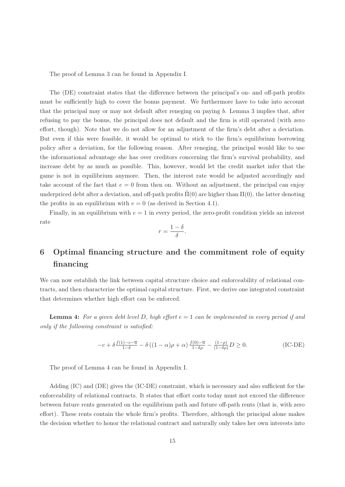The proof of Lemma 3 can be found in Appendix I.

The (DE) constraint states that the difference between the principal's on- and off-path profits must be sufficiently high to cover the bonus payment. We furthermore have to take into account that the principal may or may not default after reneging on paying b. Lemma 3 implies that, after refusing to pay the bonus, the principal does not default and the firm is still operated (with zero effort, though). Note that we do not allow for an adjustment of the firm's debt after a deviation. But even if this were feasible, it would be optimal to stick to the firm's equilibrium borrowing policy after a deviation, for the following reason. After reneging, the principal would like to use the informational advantage she has over creditors concerning the firm's survival probability, and increase debt by as much as possible. This, however, would let the credit market infer that the game is not in equilibrium anymore. Then, the interest rate would be adjusted accordingly and take account of the fact that  $e = 0$  from then on. Without an adjustment, the principal can enjoy underpriced debt after a deviation, and off-path profits  $\hat{\Pi}(0)$  are higher than  $\Pi(0)$ , the latter denoting the profits in an equilibrium with  $e = 0$  (as derived in Section 4.1).

Finally, in an equilibrium with  $e = 1$  in every period, the zero-profit condition yields an interest rate

$$
r = \frac{1 - \delta}{\delta}.
$$

## 6 Optimal financing structure and the commitment role of equity financing

We can now establish the link between capital structure choice and enforceability of relational contracts, and then characterize the optimal capital structure. First, we derive one integrated constraint that determines whether high effort can be enforced.

**Lemma 4:** For a given debt level D, high effort  $e = 1$  can be implemented in every period if and only if the following constraint is satisfied:

$$
-c + \delta \frac{f(1) - c - \overline{u}}{1 - \delta} - \delta \left( (1 - \alpha)\rho + \alpha \right) \frac{f(0) - \overline{u}}{1 - \delta \rho} - \frac{(1 - \rho)}{(1 - \delta \rho)} D \ge 0.
$$
 (IC-DE)

The proof of Lemma 4 can be found in Appendix I.

Adding (IC) and (DE) gives the (IC-DE) constraint, which is necessary and also sufficient for the enforceability of relational contracts. It states that effort costs today must not exceed the difference between future rents generated on the equilibrium path and future off-path rents (that is, with zero effort). These rents contain the whole firm's profits. Therefore, although the principal alone makes the decision whether to honor the relational contract and naturally only takes her own interests into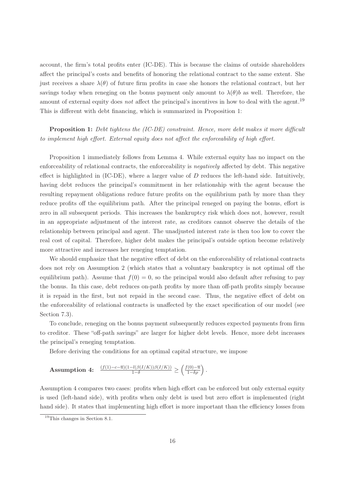account, the firm's total profits enter (IC-DE). This is because the claims of outside shareholders affect the principal's costs and benefits of honoring the relational contract to the same extent. She just receives a share  $\lambda(\theta)$  of future firm profits in case she honors the relational contract, but her savings today when reneging on the bonus payment only amount to  $\lambda(\theta)b$  as well. Therefore, the amount of external equity does not affect the principal's incentives in how to deal with the agent.<sup>19</sup> This is different with debt financing, which is summarized in Proposition 1:

**Proposition 1:** Debt tightens the (IC-DE) constraint. Hence, more debt makes it more difficult to implement high effort. External equity does not affect the enforceability of high effort.

Proposition 1 immediately follows from Lemma 4. While external equity has no impact on the enforceability of relational contracts, the enforceability is negatively affected by debt. This negative effect is highlighted in  $(IC-DE)$ , where a larger value of  $D$  reduces the left-hand side. Intuitively, having debt reduces the principal's commitment in her relationship with the agent because the resulting repayment obligations reduce future profits on the equilibrium path by more than they reduce profits off the equilibrium path. After the principal reneged on paying the bonus, effort is zero in all subsequent periods. This increases the bankruptcy risk which does not, however, result in an appropriate adjustment of the interest rate, as creditors cannot observe the details of the relationship between principal and agent. The unadjusted interest rate is then too low to cover the real cost of capital. Therefore, higher debt makes the principal's outside option become relatively more attractive and increases her reneging temptation.

We should emphasize that the negative effect of debt on the enforceability of relational contracts does not rely on Assumption 2 (which states that a voluntary bankruptcy is not optimal off the equilibrium path). Assume that  $f(0) = 0$ , so the principal would also default after refusing to pay the bonus. In this case, debt reduces on-path profits by more than off-path profits simply because it is repaid in the first, but not repaid in the second case. Thus, the negative effect of debt on the enforceability of relational contracts is unaffected by the exact specification of our model (see Section 7.3).

To conclude, reneging on the bonus payment subsequently reduces expected payments from firm to creditor. These "off-path savings" are larger for higher debt levels. Hence, more debt increases the principal's reneging temptation.

Before deriving the conditions for an optimal capital structure, we impose

**Assumption 4:** 
$$
\frac{(f(1)-c-\overline{u})(1-l(\beta(I/K))\beta(I/K))}{1-\delta} \geq \left(\frac{f(0)-\overline{u}}{1-\delta\rho}\right).
$$

Assumption 4 compares two cases: profits when high effort can be enforced but only external equity is used (left-hand side), with profits when only debt is used but zero effort is implemented (right hand side). It states that implementing high effort is more important than the efficiency losses from

<sup>19</sup>This changes in Section 8.1.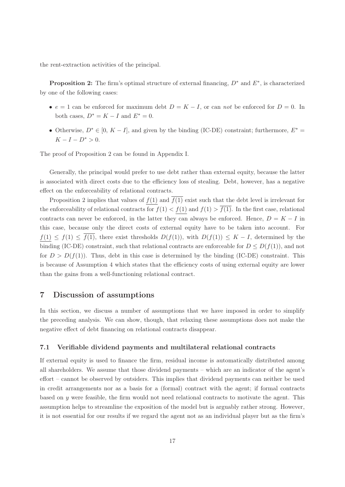the rent-extraction activities of the principal.

**Proposition 2:** The firm's optimal structure of external financing,  $D^*$  and  $E^*$ , is characterized by one of the following cases:

- $e = 1$  can be enforced for maximum debt  $D = K I$ , or can not be enforced for  $D = 0$ . In both cases,  $D^* = K - I$  and  $E^* = 0$ .
- Otherwise,  $D^* \in [0, K I]$ , and given by the binding (IC-DE) constraint; furthermore,  $E^* =$  $K - I - D^* > 0.$

The proof of Proposition 2 can be found in Appendix I.

Generally, the principal would prefer to use debt rather than external equity, because the latter is associated with direct costs due to the efficiency loss of stealing. Debt, however, has a negative effect on the enforceability of relational contracts.

Proposition 2 implies that values of  $f(1)$  and  $\overline{f(1)}$  exist such that the debt level is irrelevant for the enforceability of relational contracts for  $f(1) < f(1)$  and  $f(1) > \overline{f(1)}$ . In the first case, relational contracts can never be enforced, in the latter they can always be enforced. Hence,  $D = K - I$  in this case, because only the direct costs of external equity have to be taken into account. For  $f(1) \leq f(1) \leq \overline{f(1)}$ , there exist thresholds  $D(f(1))$ , with  $D(f(1)) \leq K - I$ , determined by the binding (IC-DE) constraint, such that relational contracts are enforceable for  $D \leq D(f(1))$ , and not for  $D > D(f(1))$ . Thus, debt in this case is determined by the binding (IC-DE) constraint. This is because of Assumption 4 which states that the efficiency costs of using external equity are lower than the gains from a well-functioning relational contract.

## 7 Discussion of assumptions

In this section, we discuss a number of assumptions that we have imposed in order to simplify the preceding analysis. We can show, though, that relaxing these assumptions does not make the negative effect of debt financing on relational contracts disappear.

#### 7.1 Verifiable dividend payments and multilateral relational contracts

If external equity is used to finance the firm, residual income is automatically distributed among all shareholders. We assume that those dividend payments – which are an indicator of the agent's effort – cannot be observed by outsiders. This implies that dividend payments can neither be used in credit arrangements nor as a basis for a (formal) contract with the agent; if formal contracts based on  $y$  were feasible, the firm would not need relational contracts to motivate the agent. This assumption helps to streamline the exposition of the model but is arguably rather strong. However, it is not essential for our results if we regard the agent not as an individual player but as the firm's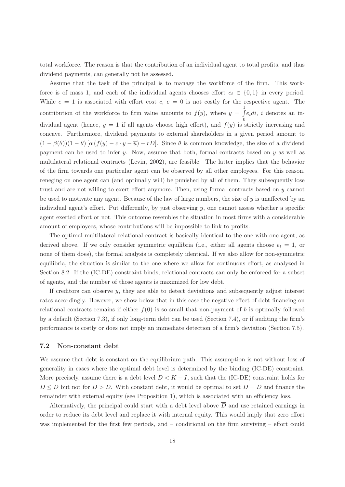total workforce. The reason is that the contribution of an individual agent to total profits, and thus dividend payments, can generally not be assessed.

Assume that the task of the principal is to manage the workforce of the firm. This workforce is of mass 1, and each of the individual agents chooses effort  $e_t \in \{0,1\}$  in every period. While  $e = 1$  is associated with effort cost  $c, e = 0$  is not costly for the respective agent. The contribution of the workforce to firm value amounts to  $f(y)$ , where  $y = \int_0^1$  $\mathbf 0$  $e_i di, i$  denotes an individual agent (hence,  $y = 1$  if all agents choose high effort), and  $f(y)$  is strictly increasing and concave. Furthermore, dividend payments to external shareholders in a given period amount to  $(1 - \beta(\theta))(1 - \theta) [\alpha(f(y) - c \cdot y - \overline{u}) - rD]$ . Since  $\theta$  is common knowledge, the size of a dividend payment can be used to infer y. Now, assume that both, formal contracts based on y as well as multilateral relational contracts (Levin, 2002), are feasible. The latter implies that the behavior of the firm towards one particular agent can be observed by all other employees. For this reason, reneging on one agent can (and optimally will) be punished by all of them. They subsequently lose trust and are not willing to exert effort anymore. Then, using formal contracts based on y cannot be used to motivate any agent. Because of the law of large numbers, the size of  $y$  is unaffected by an individual agent's effort. Put differently, by just observing  $y$ , one cannot assess whether a specific agent exerted effort or not. This outcome resembles the situation in most firms with a considerable amount of employees, whose contributions will be impossible to link to profits.

The optimal multilateral relational contract is basically identical to the one with one agent, as derived above. If we only consider symmetric equilibria (i.e., either all agents choose  $e_t = 1$ , or none of them does), the formal analysis is completely identical. If we also allow for non-symmetric equilibria, the situation is similar to the one where we allow for continuous effort, as analyzed in Section 8.2. If the (IC-DE) constraint binds, relational contracts can only be enforced for a subset of agents, and the number of those agents is maximized for low debt.

If creditors can observe  $y$ , they are able to detect deviations and subsequently adjust interest rates accordingly. However, we show below that in this case the negative effect of debt financing on relational contracts remains if either  $f(0)$  is so small that non-payment of b is optimally followed by a default (Section 7.3), if only long-term debt can be used (Section 7.4), or if auditing the firm's performance is costly or does not imply an immediate detection of a firm's deviation (Section 7.5).

#### 7.2 Non-constant debt

We assume that debt is constant on the equilibrium path. This assumption is not without loss of generality in cases where the optimal debt level is determined by the binding (IC-DE) constraint. More precisely, assume there is a debt level  $\overline{D} < K - I$ , such that the (IC-DE) constraint holds for  $D \leq \overline{D}$  but not for  $D > \overline{D}$ . With constant debt, it would be optimal to set  $D = \overline{D}$  and finance the remainder with external equity (see Proposition 1), which is associated with an efficiency loss.

Alternatively, the principal could start with a debt level above  $\overline{D}$  and use retained earnings in order to reduce its debt level and replace it with internal equity. This would imply that zero effort was implemented for the first few periods, and – conditional on the firm surviving – effort could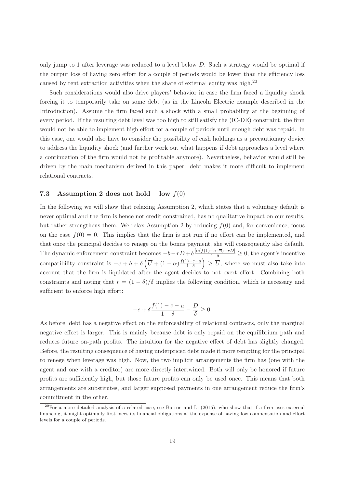only jump to 1 after leverage was reduced to a level below  $\overline{D}$ . Such a strategy would be optimal if the output loss of having zero effort for a couple of periods would be lower than the efficiency loss caused by rent extraction activities when the share of external equity was high.<sup>20</sup>

Such considerations would also drive players' behavior in case the firm faced a liquidity shock forcing it to temporarily take on some debt (as in the Lincoln Electric example described in the Introduction). Assume the firm faced such a shock with a small probability at the beginning of every period. If the resulting debt level was too high to still satisfy the (IC-DE) constraint, the firm would not be able to implement high effort for a couple of periods until enough debt was repaid. In this case, one would also have to consider the possibility of cash holdings as a precautionary device to address the liquidity shock (and further work out what happens if debt approaches a level where a continuation of the firm would not be profitable anymore). Nevertheless, behavior would still be driven by the main mechanism derived in this paper: debt makes it more difficult to implement relational contracts.

### 7.3 Assumption 2 does not hold – low  $f(0)$

In the following we will show that relaxing Assumption 2, which states that a voluntary default is never optimal and the firm is hence not credit constrained, has no qualitative impact on our results, but rather strengthens them. We relax Assumption 2 by reducing  $f(0)$  and, for convenience, focus on the case  $f(0) = 0$ . This implies that the firm is not run if no effort can be implemented, and that once the principal decides to renege on the bonus payment, she will consequently also default. The dynamic enforcement constraint becomes  $-b-rD+\delta\frac{[\alpha(f(1)-c-\overline{u})-rD]}{1-\delta}\geq 0$ , the agent's incentive compatibility constraint is  $-c + b + \delta \left(\overline{U} + (1 - \alpha) \frac{f(1) - c - \overline{u}}{1 - \delta}\right) \ge \overline{U}$ , where we must also take into account that the firm is liquidated after the agent decides to not exert effort. Combining both constraints and noting that  $r = (1 - \delta)/\delta$  implies the following condition, which is necessary and sufficient to enforce high effort:

$$
-c + \delta \frac{f(1) - c - \overline{u}}{1 - \delta} - \frac{D}{\delta} \ge 0.
$$

As before, debt has a negative effect on the enforceability of relational contracts, only the marginal negative effect is larger. This is mainly because debt is only repaid on the equilibrium path and reduces future on-path profits. The intuition for the negative effect of debt has slightly changed. Before, the resulting consequence of having underpriced debt made it more tempting for the principal to renege when leverage was high. Now, the two implicit arrangements the firm has (one with the agent and one with a creditor) are more directly intertwined. Both will only be honored if future profits are sufficiently high, but those future profits can only be used once. This means that both arrangements are substitutes, and larger supposed payments in one arrangement reduce the firm's commitment in the other.

 $^{20}$ For a more detailed analysis of a related case, see Barron and Li (2015), who show that if a firm uses external financing, it might optimally first meet its financial obligations at the expense of having low compensation and effort levels for a couple of periods.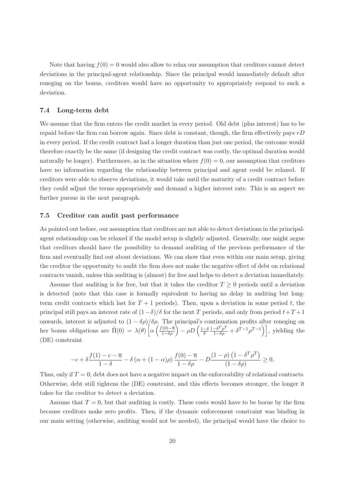Note that having  $f(0) = 0$  would also allow to relax our assumption that creditors cannot detect deviations in the principal-agent relationship. Since the principal would immediately default after reneging on the bonus, creditors would have no opportunity to appropriately respond to such a deviation.

#### 7.4 Long-term debt

We assume that the firm enters the credit market in every period. Old debt (plus interest) has to be repaid before the firm can borrow again. Since debt is constant, though, the firm effectively pays  $rD$ in every period. If the credit contract had a longer duration than just one period, the outcome would therefore exactly be the same (if designing the credit contract was costly, the optimal duration would naturally be longer). Furthermore, as in the situation where  $f(0) = 0$ , our assumption that creditors have no information regarding the relationship between principal and agent could be relaxed. If creditors were able to observe deviations, it would take until the maturity of a credit contract before they could adjust the terms appropriately and demand a higher interest rate. This is an aspect we further pursue in the next paragraph.

#### 7.5 Creditor can audit past performance

As pointed out before, our assumption that creditors are not able to detect deviations in the principalagent relationship can be relaxed if the model setup is slightly adjusted. Generally, one might argue that creditors should have the possibility to demand auditing of the previous performance of the firm and eventually find out about deviations. We can show that even within our main setup, giving the creditor the opportunity to audit the firm does not make the negative effect of debt on relational contracts vanish, unless this auditing is (almost) for free and helps to detect a deviation immediately.

Assume that auditing is for free, but that it takes the creditor  $T \geq 0$  periods until a deviation is detected (note that this case is formally equivalent to having no delay in auditing but longterm credit contracts which last for  $T + 1$  periods). Then, upon a deviation in some period t, the principal still pays an interest rate of  $(1-\delta)/\delta$  for the next T periods, and only from period  $t+T+1$ onwards, interest is adjusted to  $(1 - \delta \rho)/\delta \rho$ . The principal's continuation profits after reneging on her bonus obligations are  $\hat{\Pi}(0) = \lambda(\theta) \left[ \alpha \left( \frac{f(0) - \overline{u}}{1 - \delta \rho} \right) - \rho D \left( \frac{1 - \delta}{\delta} \frac{1 - \delta^T \rho^T}{1 - \delta \rho} + \delta^{T-1} \rho^{T-1} \right) \right]$ , yielding the (DE) constraint

$$
-c + \delta \frac{f(1) - c - \overline{u}}{1 - \delta} - \delta (\alpha + (1 - \alpha)\rho) \frac{f(0) - \overline{u}}{1 - \delta \rho} - D \frac{(1 - \rho) (1 - \delta^T \rho^T)}{(1 - \delta \rho)} \ge 0.
$$

Thus, only if  $T = 0$ , debt does not have a negative impact on the enforceability of relational contracts. Otherwise, debt still tightens the (DE) constraint, and this effects becomes stronger, the longer it takes for the creditor to detect a deviation.

Assume that  $T = 0$ , but that auditing is costly. These costs would have to be borne by the firm because creditors make zero profits. Then, if the dynamic enforcement constraint was binding in our main setting (otherwise, auditing would not be needed), the principal would have the choice to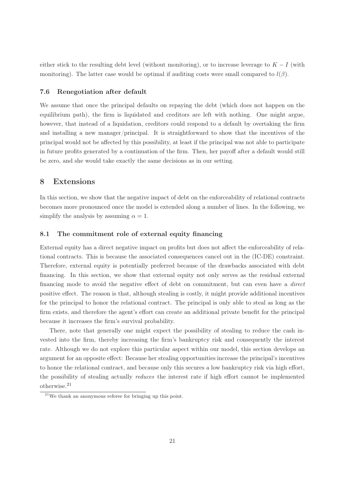either stick to the resulting debt level (without monitoring), or to increase leverage to  $K - I$  (with monitoring). The latter case would be optimal if auditing costs were small compared to  $l(\beta)$ .

#### 7.6 Renegotiation after default

We assume that once the principal defaults on repaying the debt (which does not happen on the equilibrium path), the firm is liquidated and creditors are left with nothing. One might argue, however, that instead of a liquidation, creditors could respond to a default by overtaking the firm and installing a new manager/principal. It is straightforward to show that the incentives of the principal would not be affected by this possibility, at least if the principal was not able to participate in future profits generated by a continuation of the firm. Then, her payoff after a default would still be zero, and she would take exactly the same decisions as in our setting.

## 8 Extensions

In this section, we show that the negative impact of debt on the enforceability of relational contracts becomes more pronounced once the model is extended along a number of lines. In the following, we simplify the analysis by assuming  $\alpha = 1$ .

#### 8.1 The commitment role of external equity financing

External equity has a direct negative impact on profits but does not affect the enforceability of relational contracts. This is because the associated consequences cancel out in the (IC-DE) constraint. Therefore, external equity is potentially preferred because of the drawbacks associated with debt financing. In this section, we show that external equity not only serves as the residual external financing mode to avoid the negative effect of debt on commitment, but can even have a *direct* positive effect. The reason is that, although stealing is costly, it might provide additional incentives for the principal to honor the relational contract. The principal is only able to steal as long as the firm exists, and therefore the agent's effort can create an additional private benefit for the principal because it increases the firm's survival probability.

There, note that generally one might expect the possibility of stealing to reduce the cash invested into the firm, thereby increasing the firm's bankruptcy risk and consequently the interest rate. Although we do not explore this particular aspect within our model, this section develops an argument for an opposite effect: Because her stealing opportunities increase the principal's incentives to honor the relational contract, and because only this secures a low bankruptcy risk via high effort, the possibility of stealing actually reduces the interest rate if high effort cannot be implemented otherwise.<sup>21</sup>

<sup>21</sup>We thank an anonymous referee for bringing up this point.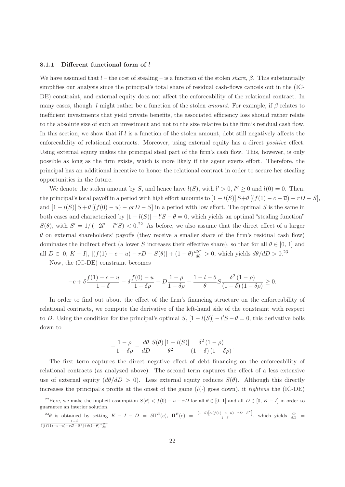#### 8.1.1 Different functional form of l

We have assumed that  $l$  – the cost of stealing – is a function of the stolen *share*,  $\beta$ . This substantially simplifies our analysis since the principal's total share of residual cash-flows cancels out in the (IC-DE) constraint, and external equity does not affect the enforceability of the relational contract. In many cases, though, l might rather be a function of the stolen *amount*. For example, if  $\beta$  relates to inefficient investments that yield private benefits, the associated efficiency loss should rather relate to the absolute size of such an investment and not to the size relative to the firm's residual cash flow. In this section, we show that if  $l$  is a function of the stolen amount, debt still negatively affects the enforceability of relational contracts. Moreover, using external equity has a direct positive effect. Using external equity makes the principal steal part of the firm's cash flow. This, however, is only possible as long as the firm exists, which is more likely if the agent exerts effort. Therefore, the principal has an additional incentive to honor the relational contract in order to secure her stealing opportunities in the future.

We denote the stolen amount by S, and hence have  $l(S)$ , with  $l' > 0$ ,  $l'' \ge 0$  and  $l(0) = 0$ . Then, the principal's total payoff in a period with high effort amounts to  $[1 - l(S)] S + \theta [(f(1) - c - \overline{u}) - rD - S],$ and  $[1 - l(S)] S + \theta [(f(0) - \overline{u}) - \rho r D - S]$  in a period with low effort. The optimal S is the same in both cases and characterized by  $[1 - l(S)] - l'S - \theta = 0$ , which yields an optimal "stealing function"  $S(\theta)$ , with  $S' = 1/(-2l' - l''S) < 0.22$  As before, we also assume that the direct effect of a larger  $\theta$  on external shareholders' payoffs (they receive a smaller share of the firm's residual cash flow) dominates the indirect effect (a lower S increases their effective share), so that for all  $\theta \in [0, 1]$  and all  $D \in [0, K - I], [(f(1) - c - \overline{u}) - rD - S(\theta)] + (1 - \theta) \frac{dS^*}{d\theta} > 0$ , which yields  $d\theta/dD > 0$ .<sup>23</sup>

Now, the (IC-DE) constraint becomes

$$
-c + \delta \frac{f(1) - c - \overline{u}}{1 - \delta} - \delta \frac{f(0) - \overline{u}}{1 - \delta \rho} - D \frac{1 - \rho}{1 - \delta \rho} + \frac{1 - l - \theta}{\theta} S \frac{\delta^2 (1 - \rho)}{(1 - \delta)(1 - \delta \rho)} \ge 0.
$$

In order to find out about the effect of the firm's financing structure on the enforceability of relational contracts, we compute the derivative of the left-hand side of the constraint with respect to D. Using the condition for the principal's optimal  $S$ ,  $[1 - l(S)] - l'S - \theta = 0$ , this derivative boils down to

$$
-\frac{1-\rho}{1-\delta\rho} - \frac{d\theta}{dD} \frac{S(\theta)\left[1-l(S)\right]}{\theta^2} \frac{\delta^2\left(1-\rho\right)}{\left(1-\delta\right)\left(1-\delta\rho\right)}.
$$

The first term captures the direct negative effect of debt financing on the enforceability of relational contracts (as analyzed above). The second term captures the effect of a less extensive use of external equity  $(d\theta/dD > 0)$ . Less external equity reduces  $S(\theta)$ . Although this directly increases the principal's profits at the onset of the game  $(l(\cdot))$  goes down), it tightens the (IC-DE)

<sup>&</sup>lt;sup>22</sup>Here, we make the implicit assumption  $S(\theta) < f(0) - \overline{u} - rD$  for all  $\theta \in [0, 1]$  and all  $D \in [0, K - I]$  in order to guarantee an interior solution.

<sup>&</sup>lt;sup>23</sup>θ is obtained by setting  $K - I - D = \delta \Pi^{E}(e)$ ,  $\Pi^{E}(e) = \frac{(1-\theta)\left[\alpha(f(1)-c-\overline{u})-rD-S^{*}\right]}{1-\delta}$ , which yields  $\frac{d\theta}{dD}$  $\frac{1-\delta}{\delta[(f(1)-c-\overline{u})-rD-S^*]+\delta(1-\theta)\frac{dS^*}{d\theta}}$ .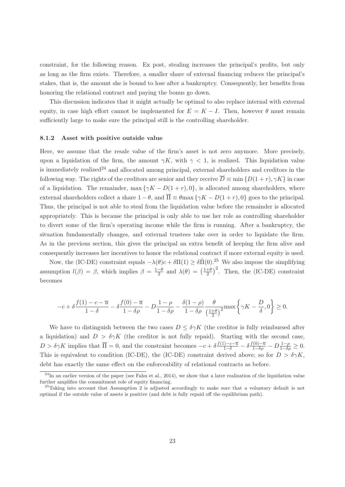constraint, for the following reason. Ex post, stealing increases the principal's profits, but only as long as the firm exists. Therefore, a smaller share of external financing reduces the principal's stakes, that is, the amount she is bound to lose after a bankruptcy. Consequently, her benefits from honoring the relational contract and paying the bonus go down.

This discussion indicates that it might actually be optimal to also replace internal with external equity, in case high effort cannot be implemented for  $E = K - I$ . Then, however  $\theta$  must remain sufficiently large to make sure the principal still is the controlling shareholder.

#### 8.1.2 Asset with positive outside value

Here, we assume that the resale value of the firm's asset is not zero anymore. More precisely, upon a liquidation of the firm, the amount  $\gamma K$ , with  $\gamma < 1$ , is realized. This liquidation value is immediately realized<sup>24</sup> and allocated among principal, external shareholders and creditors in the following way. The rights of the creditors are senior and they receive  $\overline{D} \equiv \min \{D(1+r), \gamma K\}$  in case of a liquidation. The remainder, max  $\{\gamma K - D(1+r), 0\}$ , is allocated among shareholders, where external shareholders collect a share  $1 - \theta$ , and  $\overline{\Pi} \equiv \theta$  max  $\{\gamma K - D(1+r), 0\}$  goes to the principal. Thus, the principal is not able to steal from the liquidation value before the remainder is allocated appropriately. This is because the principal is only able to use her role as controlling shareholder to divert some of the firm's operating income while the firm is running. After a bankruptcy, the situation fundamentally changes, and external trustees take over in order to liquidate the firm. As in the previous section, this gives the principal an extra benefit of keeping the firm alive and consequently increases her incentives to honor the relational contract if more external equity is used.

Now, the (IC-DE) constraint equals  $-\lambda(\theta)c + \delta\Pi(1) \geq \delta\hat{\Pi}(0).^{25}$  We also impose the simplifying assumption  $l(\beta) = \beta$ , which implies  $\beta = \frac{1-\theta}{2}$  and  $\lambda(\theta) = (\frac{1+\theta}{2})^2$ . Then, the (IC-DE) constraint becomes

$$
-c + \delta \frac{f(1) - c - \overline{u}}{1 - \delta} - \delta \frac{f(0) - \overline{u}}{1 - \delta \rho} - D \frac{1 - \rho}{1 - \delta \rho} - \frac{\delta(1 - \rho)}{1 - \delta \rho} \frac{\theta}{\left(\frac{1 + \theta}{2}\right)^2} \max\left\{\gamma K - \frac{D}{\delta}, 0\right\} \ge 0.
$$

We have to distinguish between the two cases  $D \leq \delta \gamma K$  (the creditor is fully reimbursed after a liquidation) and  $D > \delta \gamma K$  (the creditor is not fully repaid). Starting with the second case,  $D > \delta \gamma K$  implies that  $\overline{\Pi} = 0$ , and the constraint becomes  $-c + \delta \frac{f(1)-c-\overline{u}}{1-\delta} - \delta \frac{f(0)-\overline{u}}{1-\delta \rho} - D \frac{1-\rho}{1-\delta \rho} \ge 0$ . This is equivalent to condition (IC-DE), the (IC-DE) constraint derived above; so for  $D > \delta \gamma K$ , debt has exactly the same effect on the enforceability of relational contracts as before.

 $^{24}$ In an earlier version of the paper (see Fahn et al., 2014), we show that a later realization of the liquidation value further amplifies the commitment role of equity financing.

<sup>&</sup>lt;sup>25</sup>Taking into account that Assumption 2 is adjusted accordingly to make sure that a voluntary default is not optimal if the outside value of assets is positive (and debt is fully repaid off the equilibrium path).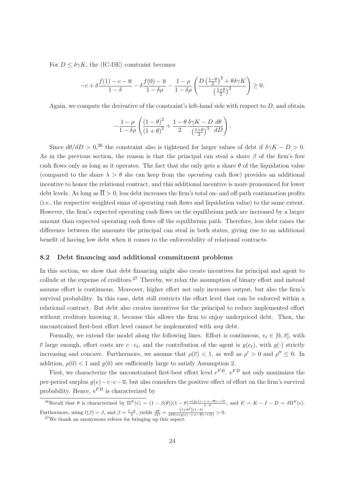For  $D \leq \delta \gamma K$ , the (IC-DE) constraint becomes

$$
-c + \delta \frac{f(1) - c - \overline{u}}{1 - \delta} - \delta \frac{f(0) - \overline{u}}{1 - \delta \rho} - \frac{1 - \rho}{1 - \delta \rho} \left( \frac{D \left(\frac{1 - \theta}{2}\right)^2 + \theta \delta \gamma K}{\left(\frac{1 + \theta}{2}\right)^2} \right) \ge 0.
$$

Again, we compute the derivative of the constraint's left-hand side with respect to  $D$ , and obtain

$$
-\frac{1-\rho}{1-\delta\rho}\left(\frac{(1-\theta)^2}{(1+\theta)^2}+\frac{1-\theta}{2}\frac{\delta\gamma K-D}{\left(\frac{1+\theta}{2}\right)^3}\frac{d\theta}{dD}\right).
$$

Since  $d\theta/dD > 0$ ,<sup>26</sup> the constraint also is tightened for larger values of debt if  $\delta \gamma K - D > 0$ . As in the previous section, the reason is that the principal can steal a share  $\beta$  of the firm's free cash flows only as long as it operates. The fact that she only gets a share  $\theta$  of the liquidation value (compared to the share  $\lambda > \theta$  she can keep from the *operating* cash flow) provides an additional incentive to honor the relational contract, and this additional incentive is more pronounced for lower debt levels. As long as  $\overline{\Pi} > 0$ , less debt increases the firm's total on- and off-path continuation profits (i.e., the respective weighted sums of operating cash flows and liquidation value) to the same extent. However, the firm's expected operating cash flows on the equilibrium path are increased by a larger amount than expected operating cash flows off the equilibrium path. Therefore, less debt raises the difference between the amounts the principal can steal in both states, giving rise to an additional benefit of having low debt when it comes to the enforceability of relational contracts.

#### 8.2 Debt financing and additional commitment problems

In this section, we show that debt financing might also create incentives for principal and agent to collude at the expense of creditors.<sup>27</sup> Thereby, we relax the assumption of binary effort and instead assume effort is continuous. Moreover, higher effort not only increases output, but also the firm's survival probability. In this case, debt still restricts the effort level that can be enforced within a relational contract. But debt also creates incentives for the principal to reduce implemented effort without creditors knowing it, because this allows the firm to enjoy underpriced debt. Then, the unconstrained first-best effort level cannot be implemented with any debt.

Formally, we extend the model along the following lines. Effort is continuous,  $e_t \in [0, \bar{e}],$  with  $\bar{e}$  large enough, effort costs are  $c \cdot e_t$ , and the contribution of the agent is  $g(e_t)$ , with  $g(\cdot)$  strictly increasing and concave. Furthermore, we assume that  $\rho(\bar{e}) < 1$ , as well as  $\rho' > 0$  and  $\rho'' \leq 0$ . In addition,  $\rho(0) < 1$  and  $q(0)$  are sufficiently large to satisfy Assumption 2.

First, we characterize the unconstrained first-best effort level  $e^{FB}$ .  $e^{FB}$  not only maximizes the per-period surplus  $g(e) - c \cdot e - \overline{u}$ , but also considers the positive effect of effort on the firm's survival probability. Hence,  $e^{FB}$  is characterized by

<sup>&</sup>lt;sup>26</sup>Recall that  $\theta$  is characterized by  $\Pi^{E}(e) = (1 - \beta(\theta))(1 - \theta) \frac{\alpha(g(e) - c \cdot e - \overline{u}) - rD}{1 - \delta}$ , and  $E = K - I - D = \delta \Pi^{E}(e)$ . Furthermore, using  $l(\beta) = \beta$ , and  $\beta = \frac{1-\theta}{2}$ , yields  $\frac{d\theta}{dD} = \frac{(1+\theta^2)(1-\delta)}{2\delta\theta(\alpha(g(e)-c\cdot e-\overline{u})-rD)} > 0$ .<br><sup>27</sup>We thank an anonymous referee for bringing up this aspect.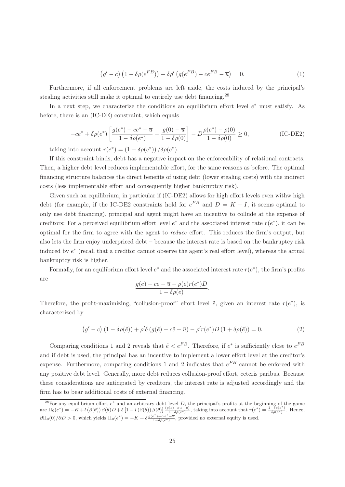$$
(g'-c)\left(1-\delta\rho(e^{FB})\right)+\delta\rho'\left(g(e^{FB})-ce^{FB}-\overline{u}\right)=0.\tag{1}
$$

Furthermore, if all enforcement problems are left aside, the costs induced by the principal's stealing activities still make it optimal to entirely use debt financing.<sup>28</sup>

In a next step, we characterize the conditions an equilibrium effort level  $e^*$  must satisfy. As before, there is an (IC-DE) constraint, which equals

$$
-ce^* + \delta\rho(e^*) \left[ \frac{g(e^*) - ce^* - \overline{u}}{1 - \delta\rho(e^*)} - \frac{g(0) - \overline{u}}{1 - \delta\rho(0)} \right] - D\frac{\rho(e^*) - \rho(0)}{1 - \delta\rho(0)} \ge 0,
$$
 (IC-DE2)

taking into account  $r(e^*) = (1 - \delta \rho(e^*)) / \delta \rho(e^*)$ .

If this constraint binds, debt has a negative impact on the enforceability of relational contracts. Then, a higher debt level reduces implementable effort, for the same reasons as before. The optimal financing structure balances the direct benefits of using debt (lower stealing costs) with the indirect costs (less implementable effort and consequently higher bankruptcy risk).

Given such an equilibrium, in particular if (IC-DE2) allows for high effort levels even withw high debt (for example, if the IC-DE2 constraints hold for  $e^{FB}$  and  $D = K - I$ , it seems optimal to only use debt financing), principal and agent might have an incentive to collude at the expense of creditors: For a perceived equilibrium effort level  $e^*$  and the associated interest rate  $r(e^*)$ , it can be optimal for the firm to agree with the agent to reduce effort. This reduces the firm's output, but also lets the firm enjoy underpriced debt – because the interest rate is based on the bankruptcy risk induced by e<sup>∗</sup> (recall that a creditor cannot observe the agent's real effort level), whereas the actual bankruptcy risk is higher.

Formally, for an equilibrium effort level  $e^*$  and the associated interest rate  $r(e^*)$ , the firm's profits are

$$
\frac{g(e) - ce - \overline{u} - \rho(e)r(e^*)D}{1 - \delta\rho(e)}.
$$

Therefore, the profit-maximizing, "collusion-proof" effort level  $\tilde{e}$ , given an interest rate  $r(e^*)$ , is characterized by

$$
(g'-c)(1-\delta\rho(\tilde{e})) + \rho'\delta(g(\tilde{e}) - c\tilde{e} - \overline{u}) - \rho' r(e^*)D(1+\delta\rho(\tilde{e})) = 0.
$$
 (2)

Comparing conditions 1 and 2 reveals that  $\tilde{e} < e^{FB}$ . Therefore, if  $e^*$  is sufficiently close to  $e^{FB}$ and if debt is used, the principal has an incentive to implement a lower effort level at the creditor's expense. Furthermore, comparing conditions 1 and 2 indicates that  $e^{FB}$  cannot be enforced with any positive debt level. Generally, more debt reduces collusion-proof effort, ceteris paribus. Because these considerations are anticipated by creditors, the interest rate is adjusted accordingly and the firm has to bear additional costs of external financing.

<sup>&</sup>lt;sup>28</sup>For any equilibrium effort  $e^*$  and an arbitrary debt level D, the principal's profits at the beginning of the game are  $\Pi_0(e^*) = -K + l(\beta(\theta))\beta(\theta)D + \delta[1 - l(\beta(\theta))\beta(\theta)]\frac{(g(e) - c \cdot e - \overline{u})}{1 - \delta\rho(e^*)}$ , taking into account that  $r(e^*) = \frac{1 - \delta\rho(e^*)}{\delta\rho(e^*)}$ . Hence,  $\partial\Pi_0(0)/\partial D > 0$ , which yields  $\Pi_0(e^*) = -K + \delta \frac{g(e^*) - c \cdot e^* - \overline{u}}{1 - \delta \rho(e^*)}$ , provided no external equity is used.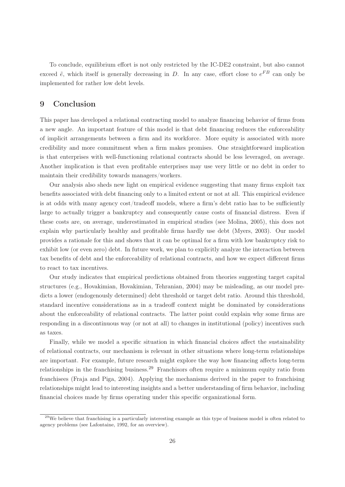To conclude, equilibrium effort is not only restricted by the IC-DE2 constraint, but also cannot exceed  $\tilde{e}$ , which itself is generally decreasing in D. In any case, effort close to  $e^{FB}$  can only be implemented for rather low debt levels.

## 9 Conclusion

This paper has developed a relational contracting model to analyze financing behavior of firms from a new angle. An important feature of this model is that debt financing reduces the enforceability of implicit arrangements between a firm and its workforce. More equity is associated with more credibility and more commitment when a firm makes promises. One straightforward implication is that enterprises with well-functioning relational contracts should be less leveraged, on average. Another implication is that even profitable enterprises may use very little or no debt in order to maintain their credibility towards managers/workers.

Our analysis also sheds new light on empirical evidence suggesting that many firms exploit tax benefits associated with debt financing only to a limited extent or not at all. This empirical evidence is at odds with many agency cost/tradeoff models, where a firm's debt ratio has to be sufficiently large to actually trigger a bankruptcy and consequently cause costs of financial distress. Even if these costs are, on average, underestimated in empirical studies (see Molina, 2005), this does not explain why particularly healthy and profitable firms hardly use debt (Myers, 2003). Our model provides a rationale for this and shows that it can be optimal for a firm with low bankruptcy risk to exhibit low (or even zero) debt. In future work, we plan to explicitly analyze the interaction between tax benefits of debt and the enforceability of relational contracts, and how we expect different firms to react to tax incentives.

Our study indicates that empirical predictions obtained from theories suggesting target capital structures (e.g., Hovakimian, Hovakimian, Tehranian, 2004) may be misleading, as our model predicts a lower (endogenously determined) debt threshold or target debt ratio. Around this threshold, standard incentive considerations as in a tradeoff context might be dominated by considerations about the enforceability of relational contracts. The latter point could explain why some firms are responding in a discontinuous way (or not at all) to changes in institutional (policy) incentives such as taxes.

Finally, while we model a specific situation in which financial choices affect the sustainability of relational contracts, our mechanism is relevant in other situations where long-term relationships are important. For example, future research might explore the way how financing affects long-term relationships in the franchising business.<sup>29</sup> Franchisors often require a minimum equity ratio from franchisees (Fraja and Piga, 2004). Applying the mechanisms derived in the paper to franchising relationships might lead to interesting insights and a better understanding of firm behavior, including financial choices made by firms operating under this specific organizational form.

 $29$ We believe that franchising is a particularly interesting example as this type of business model is often related to agency problems (see Lafontaine, 1992, for an overview).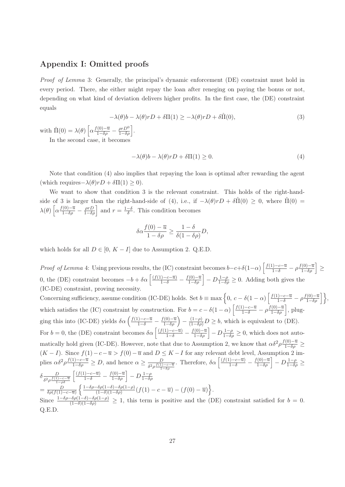## Appendix I: Omitted proofs

Proof of Lemma 3: Generally, the principal's dynamic enforcement (DE) constraint must hold in every period. There, she either might repay the loan after reneging on paying the bonus or not, depending on what kind of deviation delivers higher profits. In the first case, the (DE) constraint equals

$$
-\lambda(\theta)b - \lambda(\theta)rD + \delta\Pi(1) \ge -\lambda(\theta)rD + \delta\hat{\Pi}(0),\tag{3}
$$

with  $\hat{\Pi}(0) = \lambda(\theta) \left[ \alpha \frac{f(0) - \overline{u}}{1 - \delta \rho} - \frac{\rho r D^0}{1 - \delta \rho} \right]$ .

In the second case, it become

$$
-\lambda(\theta)b - \lambda(\theta)rD + \delta\Pi(1) \ge 0.
$$
\n(4)

Note that condition (4) also implies that repaying the loan is optimal after rewarding the agent (which requires $-\lambda(\theta)rD + \delta\Pi(1) \geq 0$ ).

We want to show that condition 3 is the relevant constraint. This holds of the right-handside of 3 is larger than the right-hand-side of (4), i.e., if  $-\lambda(\theta)rD + \delta\hat{\Pi}(0) \geq 0$ , where  $\hat{\Pi}(0) =$  $\lambda(\theta) \left[ \alpha \frac{f(0) - \overline{u}}{1 - \delta \rho} - \frac{\rho r D}{1 - \delta \rho} \right]$  and  $r = \frac{1 - \delta}{\delta}$ . This condition becomes

$$
\delta \alpha \frac{f(0) - \overline{u}}{1 - \delta \rho} \ge \frac{1 - \delta}{\delta (1 - \delta \rho)} D,
$$

which holds for all  $D \in [0, K - I]$  due to Assumption 2. Q.E.D.

Proof of Lemma 4: Using previous results, the (IC) constraint becomes  $b-c+\delta(1-\alpha)\left[\frac{f(1)-c-\overline{u}}{1-\delta}-\rho\frac{f(0)-\overline{u}}{1-\delta\rho}\right] \geq$ 0, the (DE) constraint becomes  $-b + \delta \alpha \left[ \frac{(f(1) - c - \overline{u})}{1 - \delta} - \frac{f(0) - \overline{u}}{1 - \delta \rho} \right] - D \frac{1 - \rho}{1 - \delta \rho} \ge 0$ . Adding both gives the (IC-DE) constraint, proving necessity. Concerning sufficiency, assume condition (IC-DE) holds. Set  $b \equiv \max \left\{ 0, c - \delta(1-\alpha) \left[ \frac{f(1)-c-\overline{u}}{1-\delta} - \rho \frac{f(0)-\overline{u}}{1-\delta \rho} \right] \right\}$ which satisfies the (IC) constraint by construction. For  $b = c - \delta(1 - \alpha) \left[ \frac{f(1) - c - \overline{u}}{1 - \delta} - \rho \frac{f(0) - \overline{u}}{1 - \delta \rho} \right]$ , plugging this into (IC-DE) yields  $\delta \alpha \left( \frac{f(1) - c - \overline{u}}{1 - \delta} - \frac{f(0) - \overline{u}}{1 - \delta \rho} \right) - \frac{(1 - \rho)}{(1 - \delta \rho)} D \geq b$ , which is equivalent to (DE). For  $b = 0$ , the (DE) constraint becomes  $\delta \alpha \left[ \frac{(f(1) - c - \overline{u})}{1 - \delta} - \frac{f(0) - \overline{u}}{1 - \delta \rho} \right] - D \frac{1 - \rho}{1 - \delta \rho} \ge 0$ , which does not automatically hold given (IC-DE). However, note that due to Assumption 2, we know that  $\alpha \delta^2 \rho \frac{f(0)-\overline{u}}{1-\delta \rho} \geq$  $(K - I)$ . Since  $f(1) - c - \overline{u} > f(0) - \overline{u}$  and  $D \leq K - I$  for any relevant debt level, Assumption 2 implies  $\alpha \delta^2 \rho \frac{f(1) - c - \overline{u}}{1 - \delta \rho} \ge D$ , and hence  $\alpha \ge \frac{D}{\delta^2 \rho \frac{f(1) - c - \overline{u}}{1 - \delta \rho}}$ . Therefore,  $\delta \alpha \left[ \frac{(f(1)-c-\overline{u})}{1-\delta} - \frac{f(0)-\overline{u}}{1-\delta \rho} \right] - D \frac{1-\rho}{1-\delta \rho} \geq$  $\delta \frac{D}{\delta^2 \rho \frac{f(1)-c-\overline{u}}{1-\delta \overline{\delta}}} \left[ \frac{(f(1)-c-\overline{u})}{1-\delta} - \frac{f(0)-\overline{u}}{1-\delta \rho} \right] - D \frac{1-\rho}{1-\delta \rho}$  $=$   $\frac{D}{\delta \rho(f(1)-c-\overline{u})}$  $\left\{\frac{1-\delta\rho-\delta\rho(1-\delta)-\delta\rho(1-\rho)}{(1-\delta)(1-\delta\rho)}(f(1)-c-\overline{u})-(f(0)-\overline{u})\right\}$ Since  $\frac{1-\delta\rho-\delta\rho(1-\delta)-\delta\rho(1-\rho)}{(1-\delta)(1-\delta\rho)} \geq 1$ , this term is positive and the (DE) constraint satisfied for  $b=0$ . Q.E.D.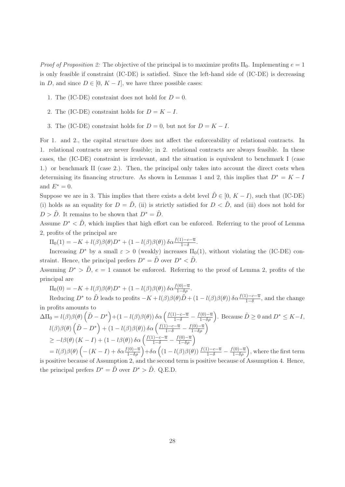*Proof of Proposition 2:* The objective of the principal is to maximize profits  $\Pi_0$ . Implementing  $e = 1$ is only feasible if constraint (IC-DE) is satisfied. Since the left-hand side of (IC-DE) is decreasing in D, and since  $D \in [0, K - I]$ , we have three possible cases:

- 1. The (IC-DE) constraint does not hold for  $D = 0$ .
- 2. The (IC-DE) constraint holds for  $D = K I$ .
- 3. The (IC-DE) constraint holds for  $D = 0$ , but not for  $D = K I$ .

For 1. and 2., the capital structure does not affect the enforceability of relational contracts. In 1. relational contracts are never feasible; in 2. relational contracts are always feasible. In these cases, the (IC-DE) constraint is irrelevant, and the situation is equivalent to benchmark I (case 1.) or benchmark II (case 2.). Then, the principal only takes into account the direct costs when determining its financing structure. As shown in Lemmas 1 and 2, this implies that  $D^* = K - I$ and  $E^* = 0$ .

Suppose we are in 3. This implies that there exists a debt level  $\tilde{D} \in [0, K - I)$ , such that (IC-DE) (i) holds as an equality for  $D = \tilde{D}$ , (ii) is strictly satisfied for  $D < \tilde{D}$ , and (iii) does not hold for  $D > \tilde{D}$ . It remains to be shown that  $D^* = \tilde{D}$ .

Assume  $D^* < \tilde{D}$ , which implies that high effort can be enforced. Referring to the proof of Lemma 2, profits of the principal are

 $\Pi_0(1) = -K + l(\beta)\beta(\theta)D^* + (1 - l(\beta)\beta(\theta))\delta\alpha \frac{f(1) - c - \overline{u}}{1 - \delta}.$ 

Increasing  $D^*$  by a small  $\varepsilon > 0$  (weakly) increases  $\Pi_0(1)$ , without violating the (IC-DE) constraint. Hence, the principal prefers  $D^* = \tilde{D}$  over  $D^* < \tilde{D}$ .

Assuming  $D^* > \tilde{D}$ ,  $e = 1$  cannot be enforced. Referring to the proof of Lemma 2, profits of the principal are

 $\Pi_0(0) = -K + l(\beta)\beta(\theta)D^* + (1 - l(\beta)\beta(\theta)) \delta \alpha \frac{f(0) - \overline{u}}{1 - \delta \rho}.$ 

Reducing  $D^*$  to  $\tilde{D}$  leads to profits  $-K + l(\beta)\beta(\theta)\tilde{D} + (1 - l(\beta)\beta(\theta))\delta\alpha \frac{f(1) - c - \overline{u}}{1 - \delta}$ , and the change in profits amounts to

$$
\Delta\Pi_0 = l(\beta)\beta(\theta) \left( \tilde{D} - D^* \right) + (1 - l(\beta)\beta(\theta)) \delta\alpha \left( \frac{f(1) - c - \overline{u}}{1 - \delta} - \frac{f(0) - \overline{u}}{1 - \delta\rho} \right). \text{ Because } \tilde{D} \ge 0 \text{ and } D^* \le K - I,
$$
  
\n
$$
l(\beta)\beta(\theta) \left( \tilde{D} - D^* \right) + (1 - l(\beta)\beta(\theta)) \delta\alpha \left( \frac{f(1) - c - \overline{u}}{1 - \delta} - \frac{f(0) - \overline{u}}{1 - \delta\rho} \right)
$$
  
\n
$$
\ge -l\beta(\theta) \left( K - I \right) + (1 - l\beta(\theta)) \delta\alpha \left( \frac{f(1) - c - \overline{u}}{1 - \delta} - \frac{f(0) - \overline{u}}{1 - \delta\rho} \right)
$$
  
\n
$$
= l(\beta)\beta(\theta) \left( -(K - I) + \delta\alpha \frac{f(0) - \overline{u}}{1 - \delta\rho} \right) + \delta\alpha \left( (1 - l(\beta)\beta(\theta)) \frac{f(1) - c - \overline{u}}{1 - \delta} - \frac{f(0) - \overline{u}}{1 - \delta\rho} \right), \text{ where the first term}
$$

is positive because of Assumption 2, and the second term is positive because of Assumption 4. Hence, the principal prefers  $D^* = \tilde{D}$  over  $D^* > \tilde{D}$ . Q.E.D.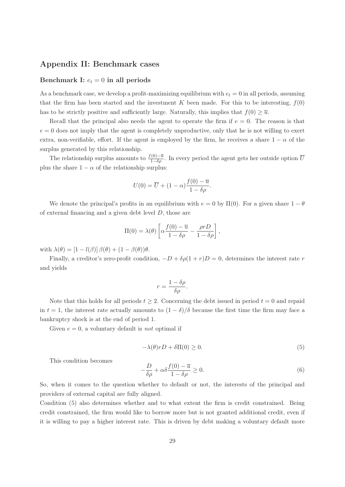## Appendix II: Benchmark cases

#### Benchmark I:  $e_t = 0$  in all periods

As a benchmark case, we develop a profit-maximizing equilibrium with  $e_t = 0$  in all periods, assuming that the firm has been started and the investment K been made. For this to be interesting,  $f(0)$ has to be strictly positive and sufficiently large. Naturally, this implies that  $f(0) \geq \overline{u}$ .

Recall that the principal also needs the agent to operate the firm if  $e = 0$ . The reason is that  $e = 0$  does not imply that the agent is completely unproductive, only that he is not willing to exert extra, non-verifiable, effort. If the agent is employed by the firm, he receives a share  $1 - \alpha$  of the surplus generated by this relationship.

The relationship surplus amounts to  $\frac{f(0)-\overline{u}}{1-\delta\rho}$ . In every period the agent gets her outside option  $\overline{U}$ plus the share  $1 - \alpha$  of the relationship surplus:

$$
U(0) = \overline{U} + (1 - \alpha) \frac{f(0) - \overline{u}}{1 - \delta \rho}.
$$

We denote the principal's profits in an equilibrium with  $e = 0$  by  $\Pi(0)$ . For a given share  $1 - \theta$ of external financing and a given debt level D, those are

$$
\Pi(0) = \lambda(\theta) \left[ \alpha \frac{f(0) - \overline{u}}{1 - \delta \rho} - \frac{\rho r D}{1 - \delta \rho} \right],
$$

with  $\lambda(\theta) = [1 - l(\beta)] \beta(\theta) + (1 - \beta(\theta))\theta$ .

Finally, a creditor's zero-profit condition,  $-D + \delta \rho (1+r)D = 0$ , determines the interest rate r and yields

$$
r = \frac{1 - \delta \rho}{\delta \rho}.
$$

Note that this holds for all periods  $t \geq 2$ . Concerning the debt issued in period  $t = 0$  and repaid in  $t = 1$ , the interest rate actually amounts to  $(1 - \delta)/\delta$  because the first time the firm may face a bankruptcy shock is at the end of period 1.

Given  $e = 0$ , a voluntary default is *not* optimal if

$$
-\lambda(\theta)rD + \delta\Pi(0) \ge 0.
$$
\n<sup>(5)</sup>

This condition becomes

$$
-\frac{D}{\delta \rho} + \alpha \delta \frac{f(0) - \overline{u}}{1 - \delta \rho} \ge 0.
$$
\n(6)

So, when it comes to the question whether to default or not, the interests of the principal and providers of external capital are fully aligned.

Condition (5) also determines whether and to what extent the firm is credit constrained. Being credit constrained, the firm would like to borrow more but is not granted additional credit, even if it is willing to pay a higher interest rate. This is driven by debt making a voluntary default more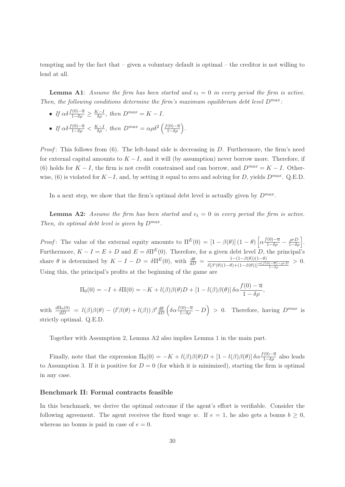tempting and by the fact that – given a voluntary default is optimal – the creditor is not willing to lend at all.

**Lemma A1:** Assume the firm has been started and  $e_t = 0$  in every period the firm is active. Then, the following conditions determine the firm's maximum equilibrium debt level  $D^{max}$ :

- If  $\alpha \delta \frac{f(0)-\overline{u}}{1-\delta \rho} \geq \frac{K-I}{\delta \rho}$ , then  $D^{max} = K I$ .
- If  $\alpha \delta \frac{f(0)-\overline{u}}{1-\delta \rho} < \frac{K-I}{\delta \rho}$ , then  $D^{max} = \alpha \rho \delta^2 \left( \frac{f(0)-\overline{u}}{1-\delta \rho} \right)$ .

*Proof*: This follows from  $(6)$ . The left-hand side is decreasing in D. Furthermore, the firm's need for external capital amounts to  $K - I$ , and it will (by assumption) never borrow more. Therefore, if (6) holds for  $K - I$ , the firm is not credit constrained and can borrow, and  $D^{max} = K - I$ . Otherwise, (6) is violated for  $K-I$ , and, by setting it equal to zero and solving for D, yields  $D^{max}$ . Q.E.D.

In a next step, we show that the firm's optimal debt level is actually given by  $D^{max}$ .

**Lemma A2:** Assume the firm has been started and  $e_t = 0$  in every period the firm is active. Then, its optimal debt level is given by  $D^{max}$ .

Proof: The value of the external equity amounts to  $\Pi^E(0) = \left[1 - \beta(\theta)\right] \left(1 - \theta\right) \left[\alpha \frac{f(0) - \overline{u}}{1 - \delta \rho} - \frac{\rho r D}{1 - \delta \rho}\right]$ . Furthermore,  $K - I = E + D$  and  $E = \delta \Pi^{E}(0)$ . Therefore, for a given debt level D, the principal's share  $\theta$  is determined by  $K - I - D = \delta \Pi^E(0)$ , with  $\frac{d\theta}{dD} = \frac{1 - (1 - \beta(\theta))(1 - \theta)}{\delta[\beta'(\theta)(1 - \theta) + (1 - \beta(\theta))] \frac{\alpha(f(0) - \overline{u}) - \rho r D}{1 - \delta \rho}}$  $> 0.$ Using this, the principal's profits at the beginning of the game are

$$
\Pi_0(0) = -I + \delta \Pi(0) = -K + l(\beta)\beta(\theta)D + [1 - l(\beta)\beta(\theta)] \delta \alpha \frac{f(0) - \overline{u}}{1 - \delta \rho},
$$

with  $\frac{d\Pi_0(0)}{dD} = l(\beta)\beta(\theta) - (l'\beta(\theta) + l(\beta))\beta'\frac{d\theta}{dD}\left(\delta\alpha\frac{f(0)-\overline{u}}{1-\delta\rho} - D\right) > 0$ . Therefore, having  $D^{max}$  is strictly optimal. Q.E.D.

Together with Assumption 2, Lemma A2 also implies Lemma 1 in the main part.

Finally, note that the expression  $\Pi_0(0) = -K + l(\beta)\beta(\theta)D + [1 - l(\beta)\beta(\theta)] \delta \alpha \frac{f(0) - \overline{u}}{1 - \delta \rho}$  also leads to Assumption 3. If it is positive for  $D = 0$  (for which it is minimized), starting the firm is optimal in any case.

#### Benchmark II: Formal contracts feasible

In this benchmark, we derive the optimal outcome if the agent's effort is verifiable. Consider the following agreement. The agent receives the fixed wage w. If  $e = 1$ , he also gets a bonus  $b \geq 0$ , whereas no bonus is paid in case of  $e = 0$ .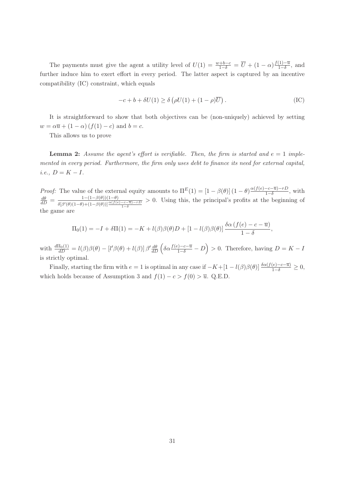The payments must give the agent a utility level of  $U(1) = \frac{w+b-c}{1-\delta} = \overline{U} + (1-\alpha)\frac{f(1)-\overline{u}}{1-\delta}$ , and further induce him to exert effort in every period. The latter aspect is captured by an incentive compatibility (IC) constraint, which equals

$$
-c + b + \delta U(1) \ge \delta \left( \rho U(1) + (1 - \rho) \overline{U} \right). \tag{IC}
$$

It is straightforward to show that both objectives can be (non-uniquely) achieved by setting  $w = \alpha \overline{u} + (1 - \alpha) (f(1) - c)$  and  $b = c$ .

This allows us to prove

**Lemma 2:** Assume the agent's effort is verifiable. Then, the firm is started and  $e = 1$  implemented in every period. Furthermore, the firm only uses debt to finance its need for external capital, i.e.,  $D = K - I$ .

Proof: The value of the external equity amounts to  $\Pi^{E}(1) = \left[1 - \beta(\theta)\right](1 - \theta) \frac{\alpha(f(e) - c - \overline{u}) - rD}{1 - \delta}$ , with  $\frac{d\theta}{dD} = \frac{1 - (1 - \beta(\theta))(1 - \theta)}{\delta[\beta'(\theta)(1 - \theta) + (1 - \beta(\theta))] \frac{\alpha(f(e) - c - \overline{u}) - rD}{1 - \delta}} > 0$ . Using this, the principal's > 0. Using this, the principal's profits at the beginning of the game are

$$
\Pi_0(1) = -I + \delta \Pi(1) = -K + l(\beta)\beta(\theta)D + [1 - l(\beta)\beta(\theta)] \frac{\delta \alpha (f(e) - c - \overline{u})}{1 - \delta},
$$

with  $\frac{d\Pi_0(1)}{dD} = l(\beta)\beta(\theta) - [l'\beta(\theta) + l(\beta)]\beta'\frac{d\theta}{dD}\left(\delta\alpha\frac{f(e)-c-\overline{u}}{1-\delta} - D\right) > 0$ . Therefore, having  $D = K - D$ is strictly optimal.

Finally, starting the firm with  $e = 1$  is optimal in any case if  $-K+[1 - l(\beta)\beta(\theta)] \frac{\delta\alpha(f(e) - c - \overline{u})}{1 - \delta} \geq 0$ , which holds because of Assumption 3 and  $f(1) - c > f(0) > \overline{u}$ . Q.E.D.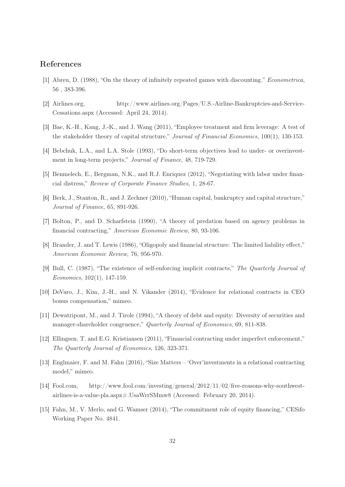## References

- [1] Abreu, D. (1988), "On the theory of infinitely repeated games with discounting." Econometrica, 56 , 383-396.
- [2] Airlines.org, http://www.airlines.org/Pages/U.S.-Airline-Bankruptcies-and-Service-Cessations.aspx (Accessed: April 24, 2014).
- [3] Bae, K.-H., Kang, J.-K., and J. Wang (2011), "Employee treatment and firm leverage: A test of the stakeholder theory of capital structure," Journal of Financial Economics, 100(1), 130-153.
- [4] Bebchuk, L.A., and L.A. Stole (1993), "Do short-term objectives lead to under- or overinvestment in long-term projects," Journal of Finance, 48, 719-729.
- [5] Benmelech, E., Bergman, N.K., and R.J. Enriquez (2012), "Negotiating with labor under financial distress," Review of Corporate Finance Studies, 1, 28-67.
- [6] Berk, J., Stanton, R., and J. Zechner (2010), "Human capital, bankruptcy and capital structure," Journal of Finance, 65, 891-926.
- [7] Bolton, P., and D. Scharfstein (1990), "A theory of predation based on agency problems in financial contracting," American Economic Review, 80, 93-106.
- [8] Brander, J. and T. Lewis (1986), "Oligopoly and financial structure: The limited liability effect," American Economic Review, 76, 956-970.
- [9] Bull, C. (1987), "The existence of self-enforcing implicit contracts," The Quarterly Journal of Economics, 102(1), 147-159.
- [10] DeVaro, J., Kim, J.-H., and N. Vikander (2014), "Evidence for relational contracts in CEO bonus compensation," mimeo.
- [11] Dewatripont, M., and J. Tirole (1994), "A theory of debt and equity: Diversity of securities and manager-shareholder congruence," Quarterly Journal of Economics, 69, 811-838.
- [12] Ellingsen, T. and E.G. Kristiansen (2011), "Financial contracting under imperfect enforcement," The Quarterly Journal of Economics, 126, 323-371.
- [13] Englmaier, F. and M. Fahn (2016), "Size Matters 'Over'investments in a relational contracting model," mimeo.
- [14] Fool.com, http://www.fool.com/investing/general/2012/11/02/five-reasons-why-southwestairlines-is-a-value-pla.aspx#.UsaWrrSMmw8 (Accessed: February 20, 2014).
- [15] Fahn, M., V. Merlo, and G. Wamser (2014), "The commitment role of equity financing," CESifo Working Paper No. 4841.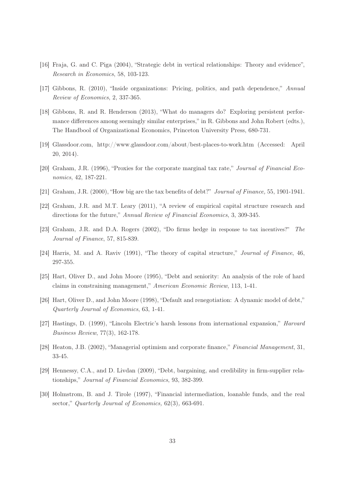- [16] Fraja, G. and C. Piga (2004), "Strategic debt in vertical relationships: Theory and evidence", Research in Economics, 58, 103-123.
- [17] Gibbons, R. (2010), "Inside organizations: Pricing, politics, and path dependence," Annual Review of Economics, 2, 337-365.
- [18] Gibbons, R. and R. Henderson (2013), "What do managers do? Exploring persistent performance differences among seemingly similar enterprises," in R. Gibbons and John Robert (edts.), The Handbool of Organizational Economics, Princeton University Press, 680-731.
- [19] Glassdoor.com, http://www.glassdoor.com/about/best-places-to-work.htm (Accessed: April 20, 2014).
- [20] Graham, J.R. (1996), "Proxies for the corporate marginal tax rate," Journal of Financial Economics, 42, 187-221.
- [21] Graham, J.R. (2000), "How big are the tax benefits of debt?" Journal of Finance, 55, 1901-1941.
- [22] Graham, J.R. and M.T. Leary (2011), "A review of empirical capital structure research and directions for the future," Annual Review of Financial Economics, 3, 309-345.
- [23] Graham, J.R. and D.A. Rogers (2002), "Do firms hedge in response to tax incentives?" The Journal of Finance, 57, 815-839.
- [24] Harris, M. and A. Raviv (1991), "The theory of capital structure," Journal of Finance, 46, 297-355.
- [25] Hart, Oliver D., and John Moore (1995), "Debt and seniority: An analysis of the role of hard claims in constraining management," American Economic Review, 113, 1-41.
- [26] Hart, Oliver D., and John Moore (1998), "Default and renegotiation: A dynamic model of debt," Quarterly Journal of Economics, 63, 1-41.
- [27] Hastings, D. (1999), "Lincoln Electric's harsh lessons from international expansion," Harvard Business Review, 77(3), 162-178.
- [28] Heaton, J.B. (2002), "Managerial optimism and corporate finance," Financial Management, 31, 33-45.
- [29] Hennessy, C.A., and D. Livdan (2009), "Debt, bargaining, and credibility in firm-supplier relationships," Journal of Financial Economics, 93, 382-399.
- [30] Holmstrom, B. and J. Tirole (1997), "Financial intermediation, loanable funds, and the real sector," Quarterly Journal of Economics, 62(3), 663-691.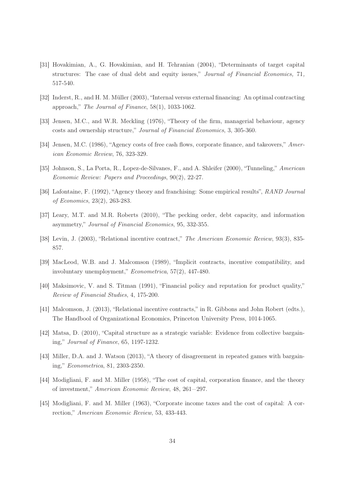- [31] Hovakimian, A., G. Hovakimian, and H. Tehranian (2004), "Determinants of target capital structures: The case of dual debt and equity issues," Journal of Financial Economics, 71, 517-540.
- [32] Inderst, R., and H. M. Müller (2003), "Internal versus external financing: An optimal contracting approach," The Journal of Finance, 58(1), 1033-1062.
- [33] Jensen, M.C., and W.R. Meckling (1976), "Theory of the firm, managerial behaviour, agency costs and ownership structure," Journal of Financial Economics, 3, 305-360.
- [34] Jensen, M.C. (1986), "Agency costs of free cash flows, corporate finance, and takeovers," American Economic Review, 76, 323-329.
- [35] Johnson, S., La Porta, R., Lopez-de-Silvanes, F., and A. Shleifer (2000), "Tunneling," American Economic Review: Papers and Proceedings, 90(2), 22-27.
- [36] Lafontaine, F. (1992), "Agency theory and franchising: Some empirical results", RAND Journal of Economics, 23(2), 263-283.
- [37] Leary, M.T. and M.R. Roberts (2010), "The pecking order, debt capacity, and information asymmetry," Journal of Financial Economics, 95, 332-355.
- [38] Levin, J. (2003), "Relational incentive contract," The American Economic Review, 93(3), 835- 857.
- [39] MacLeod, W.B. and J. Malcomson (1989), "Implicit contracts, incentive compatibility, and involuntary unemployment," Econometrica, 57(2), 447-480.
- [40] Maksimovic, V. and S. Titman (1991), "Financial policy and reputation for product quality," Review of Financial Studies, 4, 175-200.
- [41] Malcomson, J. (2013), "Relational incentive contracts," in R. Gibbons and John Robert (edts.), The Handbool of Organizational Economics, Princeton University Press, 1014-1065.
- [42] Matsa, D. (2010), "Capital structure as a strategic variable: Evidence from collective bargaining," Journal of Finance, 65, 1197-1232.
- [43] Miller, D.A. and J. Watson (2013), "A theory of disagreement in repeated games with bargaining," Econometrica, 81, 2303-2350.
- [44] Modigliani, F. and M. Miller (1958), "The cost of capital, corporation finance, and the theory of investment," American Economic Review, 48, 261−297.
- [45] Modigliani, F. and M. Miller (1963), "Corporate income taxes and the cost of capital: A correction," American Economic Review, 53, 433-443.